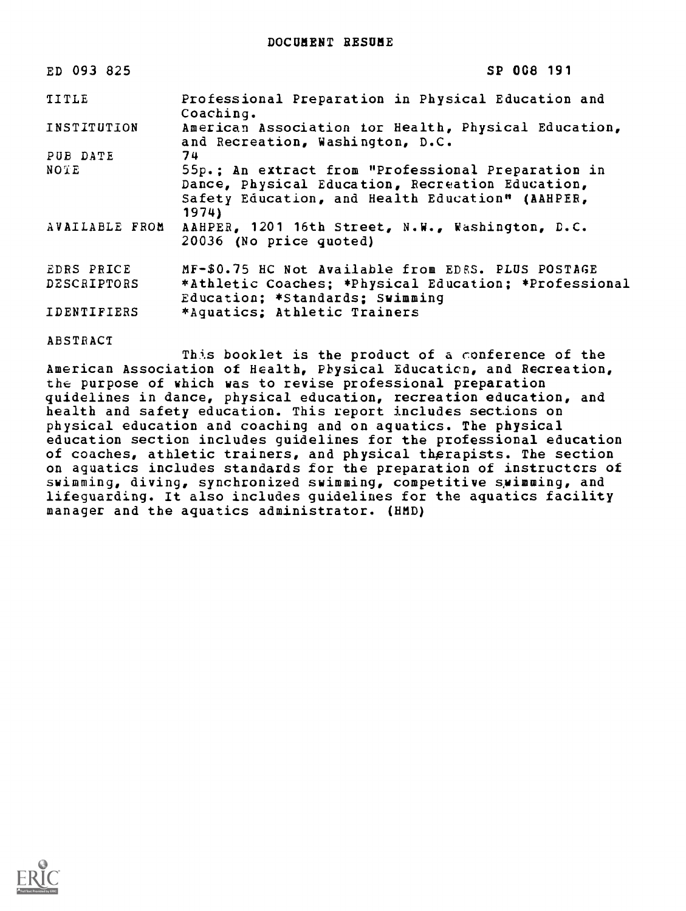| ED 093 825         | SP 008 191                                                                                                                                                          |
|--------------------|---------------------------------------------------------------------------------------------------------------------------------------------------------------------|
| TITLE              | Professional Preparation in Physical Education and<br>Coaching.                                                                                                     |
| INSTITUTION        | American Association tor Health, Physical Education,<br>and Recreation, Washington, D.C.                                                                            |
| PUB DATE           | 74                                                                                                                                                                  |
| NOTE               | 55p.; An extract from "Professional Preparation in<br>Dance, Physical Education, Recreation Education,<br>Safety Education, and Health Education" (AAHPER,<br>1974) |
| AVAILABLE FROM     | AAHPER, 1201 16th Street, N.W., Washington, D.C.<br>20036 (No price quoted)                                                                                         |
| EDRS PRICE         | MF-\$0.75 HC Not Available from EDES. PLUS POSTAGE                                                                                                                  |
| DESCRIPTORS        | *Athletic Coaches; *Physical Education; *Professional<br>Education; *Standards; Swimming                                                                            |
| <b>IDENTIFIERS</b> | *Aquatics; Athletic Trainers                                                                                                                                        |

ABSTRACT

This booklet is the product of a conference of the American Association of Health, Physical Educaticn, and Recreation, the purpose of which was to revise professional preparation guidelines in dance, physical education, recreation education, and health and safety education. This report includes sections on physical education and coaching and on aquatics. The physical education section includes guidelines for the professional education of coaches, athletic trainers, and physical therapists. The section on aquatics includes standards for the preparation of instructors of swimming, diving, synchronized swimming, competitive swimming, and lifeguarding. It also includes guidelines for the aquatics facility manager and the aquatics administrator. (HMD)

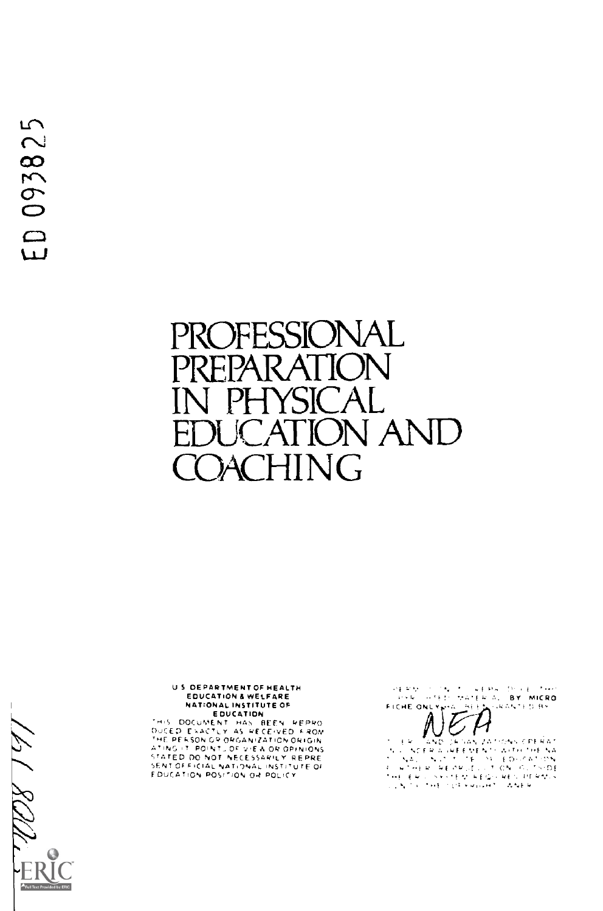# PROFESSIONAL PREPAR ATIC IYSICA<br>ATION **ION AND ACHING**

# U S DEPARTMENT OF HEALTH NATIONAL INSTITUTE OF

THIS DOCUMENT HAS BEEN REPRO<br>DUCED EXACTLY AS RECEIVED FROM<br>THE PEASON OP OPGANIZATION ORIGIN<br>ATING IT POINT, OF VIEW OR OPINIONS<br>STATED DO NOT NECESSARILY REPRE<br>SENTION POSITION OR POLICY<br>EDUCATION POSITION OR POLICY

i (1986) – verski poletičkov<br>Shtep (Material (<mark>BY) micro</mark><br>Ingr<sub>e</sub>ma <u>(M</u>ee<sub>m</sub> (Ingramted By)  $\frac{1}{2} \sum_{i=1}^{n} \frac{1}{2} \sum_{j=1}^{n} \frac{1}{2} \sum_{j=1}^{n} \frac{1}{2} \sum_{j=1}^{n} \frac{1}{2} \sum_{j=1}^{n} \frac{1}{2} \sum_{j=1}^{n} \frac{1}{2} \sum_{j=1}^{n} \frac{1}{2} \sum_{j=1}^{n} \frac{1}{2} \sum_{j=1}^{n} \frac{1}{2} \sum_{j=1}^{n} \frac{1}{2} \sum_{j=1}^{n} \frac{1}{2} \sum_{j=1}^{n} \frac{1}{2} \sum_{j=1}^{n$ FICHE ONLY HA  $\ddot{\hat{\mathcal{A}}}$  $\overline{\ell}$ 

 $\pm$   $\approx$ SAN 2ATIONS CREAKS  $\begin{array}{ll} \mathcal{F}^{\alpha} \left( \mathbb{R}^{\infty} \right) \left[ \mathbb{E} \left[ \mathbf{V} \mathbf{Q} \right] \right] \leq \mathbb{E} \left[ \mathbf{V} \mathbf{Q} \right] \left[ \mathbf{V} \mathbf{Q} \right] \leq \mathbb{E} \left[ \mathbf{V} \mathbf{Q} \right] \left[ \mathbf{V} \mathbf{Q} \right] \leq \mathbb{E} \left[ \mathbf{V} \mathbf{Q} \right] \left[ \mathbf{V} \mathbf{Q} \right] \left[ \mathbf{V} \mathbf{Q} \right] \left[$ 

12 RDU  $\Theta$ **A** Full Text P led by ERIC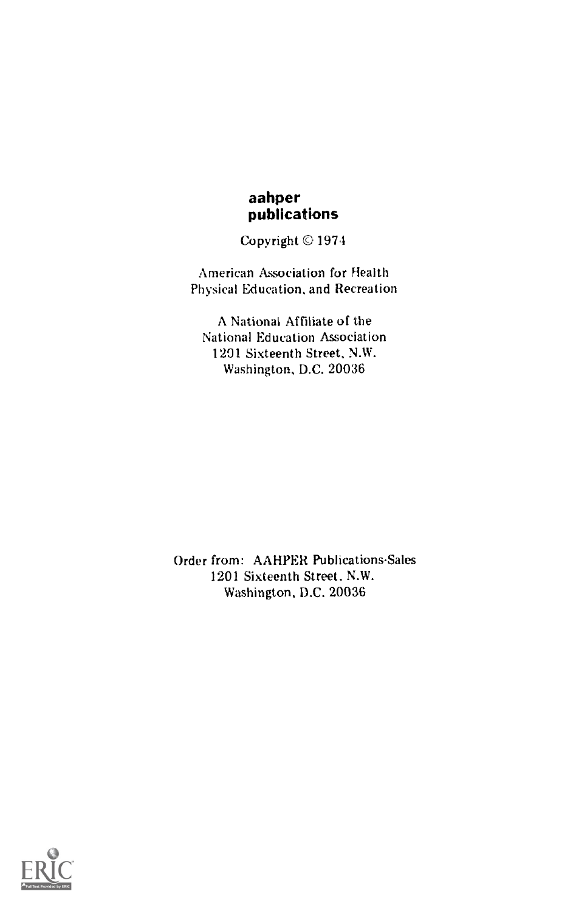# aahper publications

Copyright © 1974

American Association for Health Physical Education, and Recreation

A National Affiliate of the National Education Association 1291 Sixteenth Street, N.W. Washington, D.C. 20036

Order from: AAHPER Publications-Sales 1201 Sixteenth Street. N.W. Washington, D.C. 20036

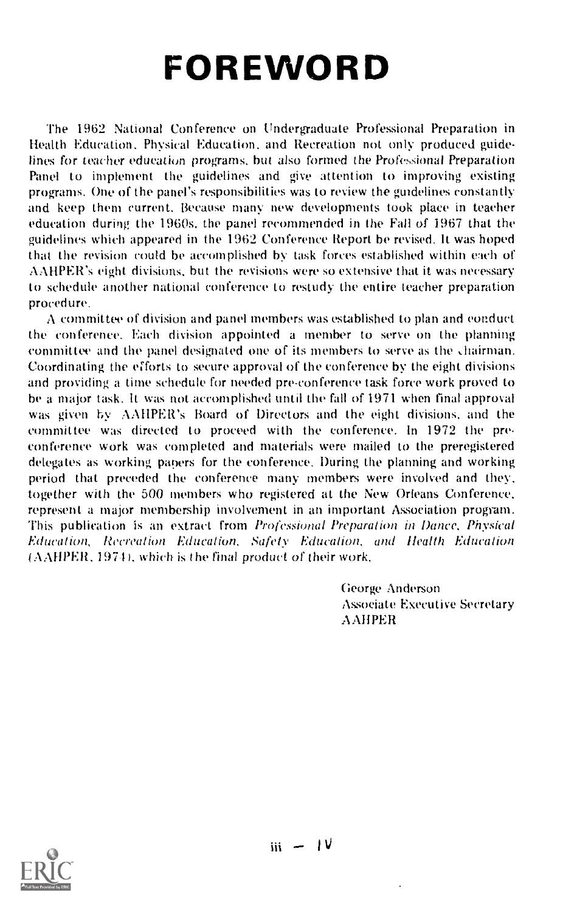# FOREWORD

The 1962 National Conference on Undergraduate Professional Preparation in Health Education, Physical Education, and Recreation not only produced guidelines for teacher education programs, but also formed the Professional Preparation Panel to implement the guidelines and give attention to improving existing programs. One of the panel's responsibilities was to review the guidelines constantly and keep them current. Because many new developments took place in teacher education during the 1960s. the panel recommended in the Fall of 1967 that the guidelines which appeared in the 1962 Conference Report he revised. It was hoped that the revision could he accomplished by task forces established within each of AAHPER's eight divisions, but the revisions were so extensive that it was necessary to schedule another national conference to restudy the entire teacher preparation procedure.

A committee of division and panel members was established to plan and conduct the conference. Each division appointed a member to serve on the planning committee and the panel designated one of its members to serve as the diairman. Coordinating the efforts to secure approval of the conference by the eight divisions and providing a time schedule for needed pre-conference task force work proved to be a major task. It was not accomplished until the fall of 1971 when final approval was given by AAIIPER's Board of Directors and the eight divisions, and the committee was directed to proceed with the conference. In 1972 the preconference work was completed and materials were mailed to the preregistered delegates as working papers for the conference. During the planning and working period that preceded the conference many members were involved and they, together with the 500 members who registered at the New Orleans Conference, represent a major membership involvement in an important Association program. This publication is an extract from Professional Preparation in Dance, Physical Education, Recreation Education, Safety Education, and Health Education  $(AAHPER, 1974)$ , which is the final product of their work.

> George Anderson Associate Executive Secretary **AAHPER**

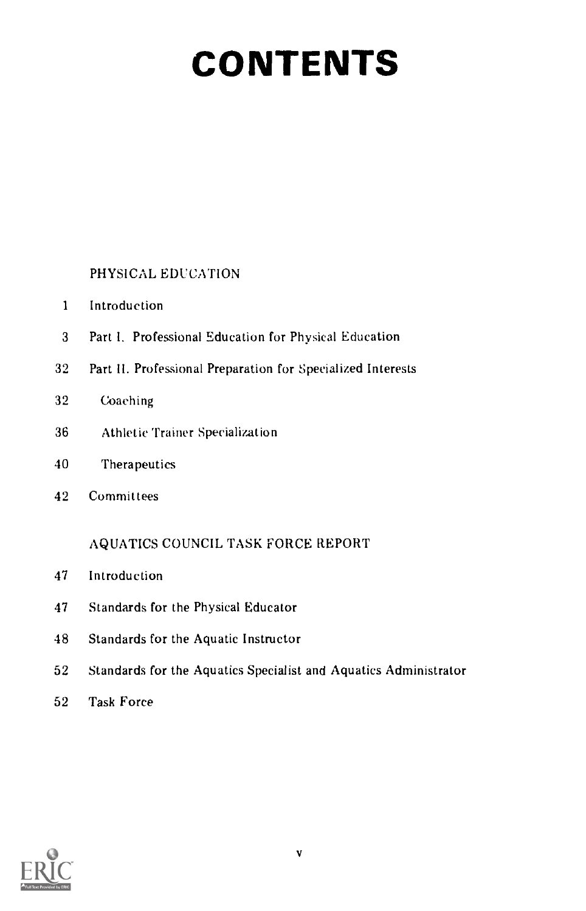# CONTENTS

PHYSICAL EDUCATION

- Introduction
- Part I. Professional Education for Physical Education
- Part II. Professional Preparation for Specialized Interests
- Coaching
- Athletic Trainer Specialization
- Therapeutics
- Committees

AQUATICS COUNCIL TASK FORCE REPORT

- Introduction
- Standards for the Physical Educator
- Standards for the Aquatic Instructor
- Standards for the Aquatics Specialist and Aquatics Administrator
- Task Force

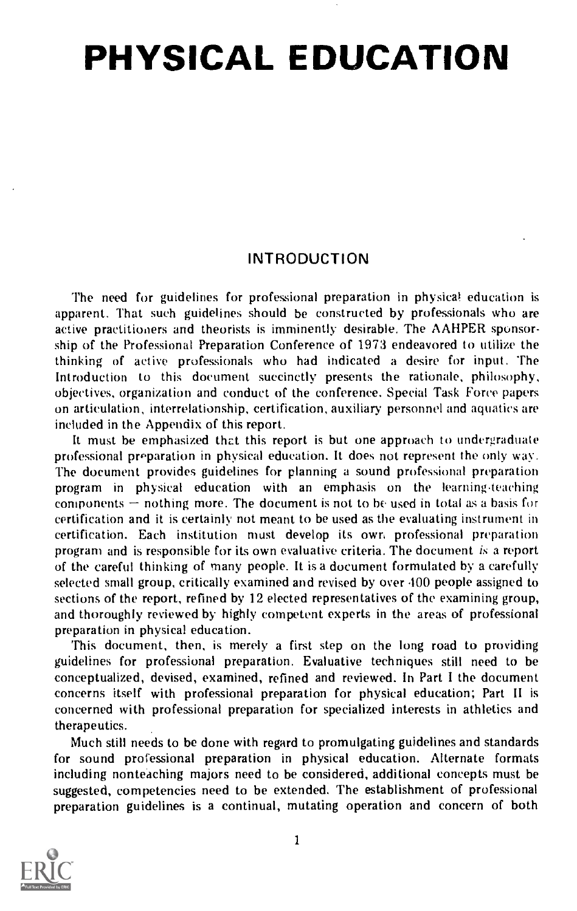# PHYSICAL EDUCATION

# INTRODUCTION

The need for guidelines for professional preparation in physical education is apparent. That such guidelines should be constructed by professionals who are active practitioners and theorists is imminently desirable. The AAHPER sponsorship of the Professional Preparation Conference of 1973 endeavored to utilize the thinking of active professionals who had indicated a desire for input. The Introduction to this document succinctly presents the rationale, philosophy, objectives, organization and conduct of the conference. Special Task Force papers on articulation, interrelationship, certification, auxiliary personnel and aquatics are included in the Appendix of this report.

It must be emphasized that this report is but one approach to undergraduate professional preparation in physical education. It does not represent the only way. The document provides guidelines for planning a sound professional preparation program in physical education with an emphasis on the learning,teaching components  $-$  nothing more. The document is not to be used in total as a basis for certification and it is certainly not meant to be used as the evaluating instrument in certification. Each institution must develop its own professional preparation program and is responsible for its own evaluative criteria. The document is a report of the careful thinking of many people. It is a document formulated by a carefully selected small group, critically examined and revised by over 100 people assigned to sections of the report, refined by 12 elected representatives of the examining group, and thoroughly reviewed by highly competent experts in the areas of professional preparation in physical education.

This document, then, is merely a first step on the long road to providing guidelines for professional preparation. Evaluative techniques still need to be conceptualized, devised, examined, refined and reviewed. In Part I the document concerns itself with professional preparation for physical education; Part II is concerned with professional preparation for specialized interests in athletics and therapeutics.

Much still needs to be done with regard to promulgating guidelines and standards for sound professional preparation in physical education. Alternate formats including nonteaching majors need to be considered, additional concepts must be suggested, competencies need to be extended. The establishment of professional preparation guidelines is a continual, mutating operation and concern of both

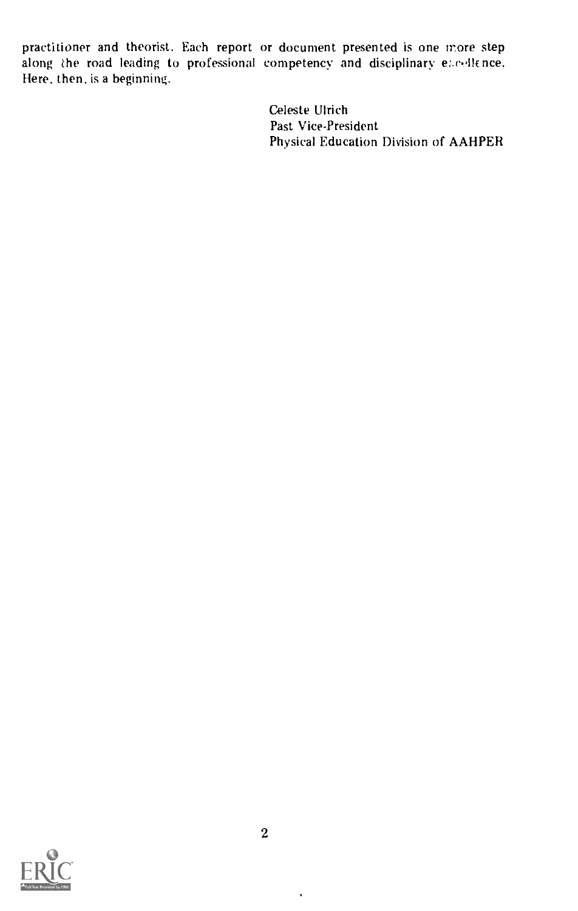practitioner and theorist. Each report or document presented is one more step along the road leading to professional competency and disciplinary encellence. Here, then, is a beginning.

> Celeste Ulrich Past Vice-President Physical Education Division of AAHPER



l,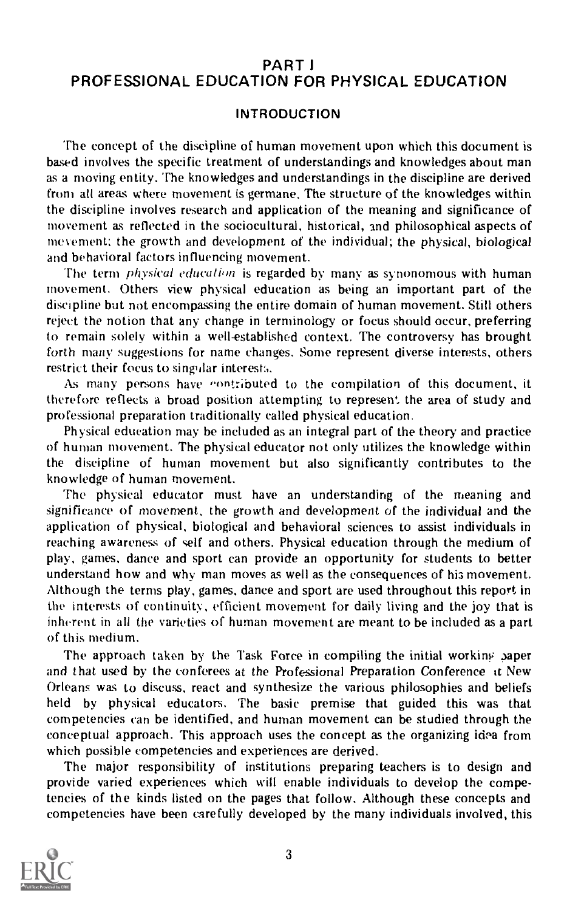# PART I PROFESSIONAL EDUCATION FOR PHYSICAL EDUCATION

# INTRODUCTION

The concept of the discipline of human movement upon which this document is based involves the specific treatment of understandings and knowledges about man as a moving entity. The knowledges and understandings in the discipline are derived from all areas where movement is germane. The structure of the knowledges within the discipline involves research and application of the meaning and significance of movement as reflected in the sociocultural, historical, and philosophical aspects of inevement; the growth and development of the individual; the physical, biological and behavioral factors influencing movement.

The term *physical education* is regarded by many as synonomous with human movement. Others view physical education as being an important part of the discipline but not encompassing the entire domain of human movement. Still others reject the notion that any change in terminology or focus should occur, preferring to remain solely within a well-established context. The controversy has brought forth many suggestions for name changes. Some represent diverse interests, others restrict their focus to singular interests.

As many persons have contributed to the compilation of this document, it therefore reflects a broad position attempting to represent the area of study and professional preparation traditionally called physical education.

Physical education may be included as an integral part of the theory and practice of human movement. The physical educator not only utilizes the knowledge within the discipline of human movement but also significantly contributes to the knowledge of human movement.

The physical educator must have an understanding of the meaning and significance of movement, the growth and development of the individual and the application of physical, biological and behavioral sciences to assist individuals in reaching awareness of self and others. Physical education through the medium of play, games, dance and sport can provide an opportunity for students to better understand how and why man moves as well as the consequences of hi3 movement. Although the terms play, games, dance and sport are used throughout this report in the interests of continuity, efficient movement for daily living and the joy that is inherent in all the varieties of human movement are meant to be included as a part of this medium.

The approach taken by the Task Force in compiling the initial working paper and that used by the conferees at the Professional Preparation Conference it New Orleans was to discuss, react and synthesize the various philosophies and beliefs held by physical educators. The basic premise that guided this was that competencies can be identified, and human movement can be studied through the conceptual approach. This approach uses the concept as the organizing idea from which possible competencies and experiences are derived.

The major responsibility of institutions preparing teachers is to design and provide varied experiences which will enable individuals to develop the competencies of the kinds listed on the pages that follow. Although these concepts and competencies have been carefully developed by the many individuals involved, this

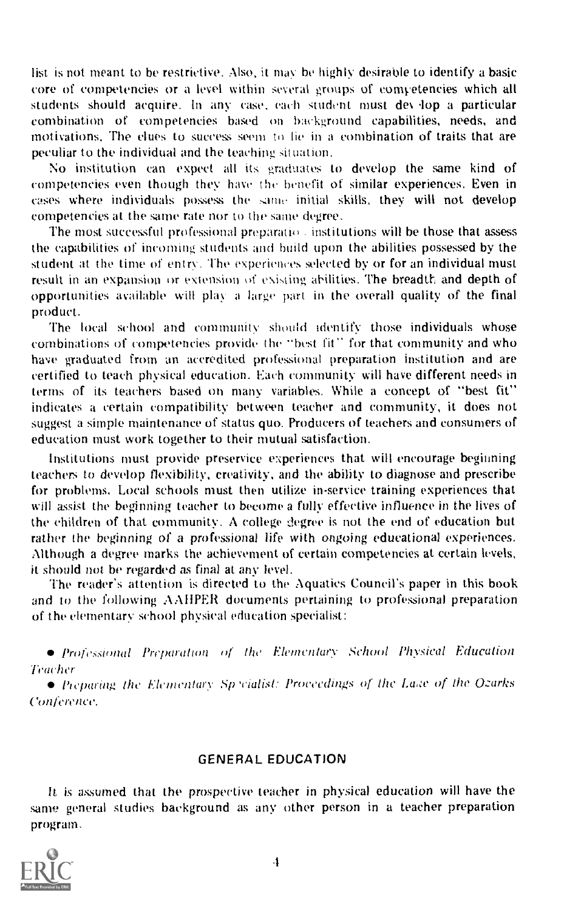list is not meant to be restrictive. Also, it may be highly desirable to identify a basic core of competencies or a level within several groups of eonwetencies which all students should acquire. In any case, each student must de\ lop a particular combination of competencies based on background capabilities, needs, and motivations. The clues to success seem to lie in a combination of traits that are peculiar to the individual and the teaching situation.

No institution can expect all its graduates to develop the same kind of competencies even though they have the benefit of similar experiences. Even in cases where individuals possess the same initial skills, they will not develop competencies at the same rate nor to the same degree.

The most successful professional preparationis institutions will be those that assess the capabilities of incoming students and build upon the abilities possessed by the student at the time of entry. The experiences selected by or for an individual must result in an expansion or extension of existing ahilities. The breadth: and depth of opportunities available will play a large part in the overall quality of the final product.

The local school and community should identify those individuals whose combinations of competencies provide the "best fit" for that community and who have graduated from an accredited professional preparation institution and are certified to teach physical education. Each community will have different needs in terms of its teachers based on many variables. While a concept of "best fit" indicates a certain compatibility between teacher and community, it does not suggest a simple maintenance of status quo. Producers of teachers and consumers of education must work together to their mutual satisfaction.

Institutions must provide preservice experiences that will encourage beginning teachers to develop flexibility, creativity, and the ability to diagnose and prescribe for problems. Local schools must then utilize in-service training experiences that will assist the' beginning teacher to become a fully effective influence in the lives of the children of that community. A college degree is not the end of education but rather the beginning of a professional life with ongoing educational experiences. Although a degree marks the achievement of certain competencies at certain levels, it should not be regarded as final at any level.

The reader's attention is directed to the Aquatics Council's paper in this book and to the following AIIPER documents pertaining to professional preparation of the elementary school physical education specialist:

Profesional Preparation of the Elementary School Physical Education Teacher

• Preparing the Elementary Sp 'cialist: Proceedings of the Lake of the Ozarks Conference.

# GENERAL EDUCATION

It is assumed that the prospective teacher in physical education will have the same general studies background as any other person in a teacher preparation program.

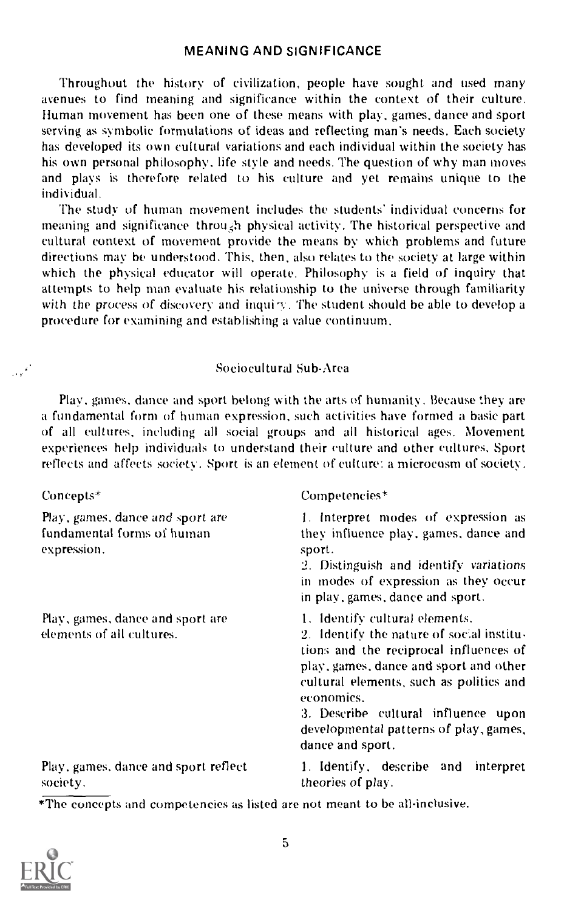# MEANING AND SIGNIFICANCE

Throughout the history of civilization, people have sought and used many avenues to find meaning and significance within the context of their culture. Human movement has been one of these means with play, games, dance and sport serving as symbolic formulations of ideas and reflecting man's needs. Each society has developed its own cultural variations and each individual within the society has his own personal philosophy, life style and needs. The question of why man moves and plays is therefore related to his culture and yet remains unique to the individual.

The study of human movement includes the students' individual concerns for meaning and significance through physical activity. The historical perspective and cultural context of movement provide the means by which problems and future directions may be understood. This, then, also relates to the society at large within which the physical educator will operate. Philosophy is a field of inquiry that attempts to help man evaluate his relationship to the universe through familiarity with the process of discovery and inquiry. The student should be able to develop a procedure for examining and establishing a value continuum,

#### Sociocultural Sub-Area

Play, games, dance and sport belong with the arts of humanity. Because they are a fundamental form of human expression, such activities have formed a basic part of all cultures, including all social groups and all historical ages. Movement experiences help individuals to understand their culture and other cultures. Sport reflects and affects society. Sport is an element of culture: a microcosm of society.

Concepts\*

 $\mathcal{A}^{\mathcal{A}}$ 

Play, games, dance and sport are fundamental forms of human expression.

Play, games, dance and sport are elements of all cultures.

#### Competencies\*

1. Interpret modes of expression as they influence play, games, dance and sport.

2. Distinguish and identify variations in modes of expression as they occur in play, games, dance and sport.

1. Identify cultural elements.

2. Identify the nature of social institutions and the reciprocal influences of play, games. dance and sport and other cultural elements, such as politics and economics.

3. Describe cultural influence upon developmental patterns of play, games, dance and sport.

Play, games. dance and sport reflect society.

1. Identify, describe and interpret theories of play.

\*The concepts and competencies as listed are not meant to be all-inclusive.

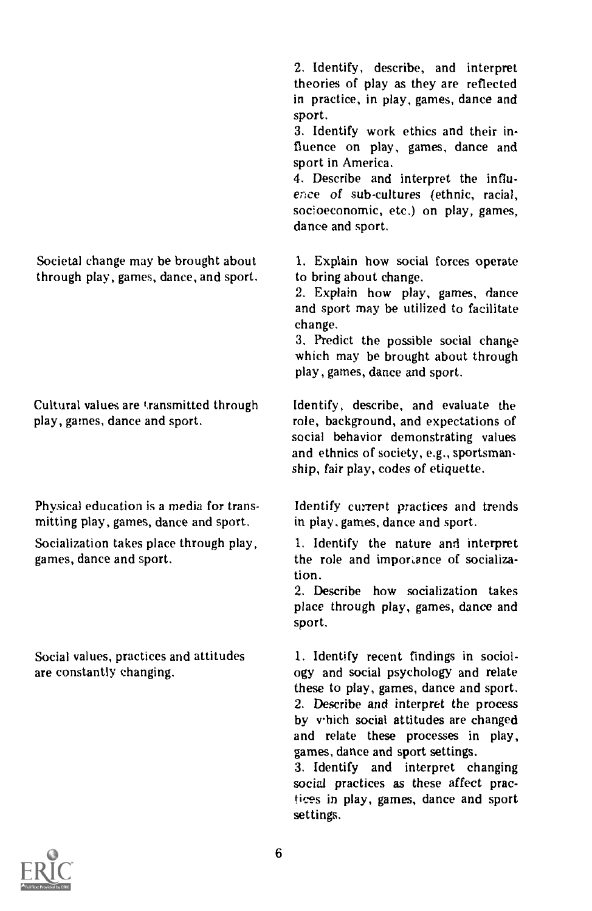Societal change may be brought about through play, games, dance, and sport.

Cultural values are transmitted through play, games, dance and sport.

Physical education is a media for transmitting play, games, dance and sport.

Socialization takes place through play, games, dance and sport.

Social values, practices and attitudes are constantly changing.

2. Identify, describe, and interpret theories of play as they are reflected in practice, in play, games, dance and sport.

3. Identify work ethics and their influence on play, games, dance and sport in America.

4. Describe and interpret the influence of sub-cultures (ethnic, racial, socioeconomic, etc.) on play, games, dance and sport.

1. Explain how social forces operate to bring about change.

2. Explain how play, games, dance and sport may be utilized to facilitate change.

3. Predict the possible social change which may be brought about through play, games, dance and sport.

Identify, describe, and evaluate the role, background, and expectations of social behavior demonstrating values and ethnics of society, e.g., sportsmanship, fair play, codes of etiquette.

Identify current practices and trends in play, games, dance and sport.

1. Identify the nature and interpret the role and importance of socialization.

2. Describe how socialization takes place through play, games, dance and sport.

1. Identify recent findings in sociology and social psychology and relate these to play, games, dance and sport. 2. Describe and interpret the process by which social attitudes are changed and relate these processes in play, games, dance and sport settings.

3. Identify and interpret changing social practices as these affect practices in play, games, dance and sport settings.

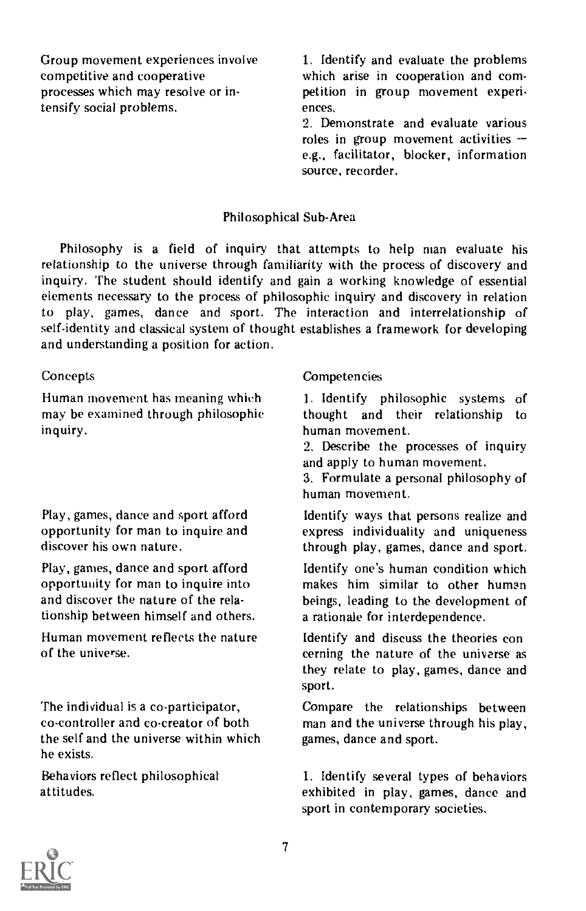Group movement experiences involve competitive and cooperative processes which may resolve or intensify social problems.

1. Identify and evaluate the problems which arise in cooperation and competition in group movement experi ences.

2. Demonstrate and evaluate various roles in group movement activities e.g., facilitator, blocker, information source, recorder.

# Philosophical Sub-Area

Philosophy is <sup>a</sup> field of inquiry that attempts to help man evaluate his relationship to the universe through familiarity with the process of discovery and inquiry. The student should identify and gain a working knowledge of essential elements necessary to the process of philosophic inquiry and discovery in relation to play, games, dance and sport. The interaction and interrelationship of self-identity and classical system of thought establishes a framework for developing and understanding a position for action.

# **Concepts**

Human movement has meaning which may be examined through philosophic inquiry.

Play, games, dance and sport afford opportunity for man to inquire and discover his own nature.

Play, games, dance and sport afford opportunity for man to inquire into and discover the nature of the relationship between himself and others.

Human movement reflects the nature of the universe.

The individual is a co-participator, co-controller and co-creator of both the self and the universe within which he exists.

Behaviors reflect philosophical attitudes.

# Competencies

1. Identify philosophic systems of thought and their relationship to human movement.

2. Describe the processes of inquiry and apply to human movement.

3. Formulate a personal philosophy of human movement.

Identify ways that persons realize and express individuality and uniqueness through play, games, dance and sport.

Identify one's human condition which makes him similar to other human beings, leading to the development of a rationale for interdependence.

Identify and discuss the theories con cerning the nature of the universe as they relate to play, games, dance and sport.

Compare the relationships between man and the universe through his play, games, dance and sport.

1. Identify several types of behaviors exhibited in play, games, dance and sport in contemporary societies.

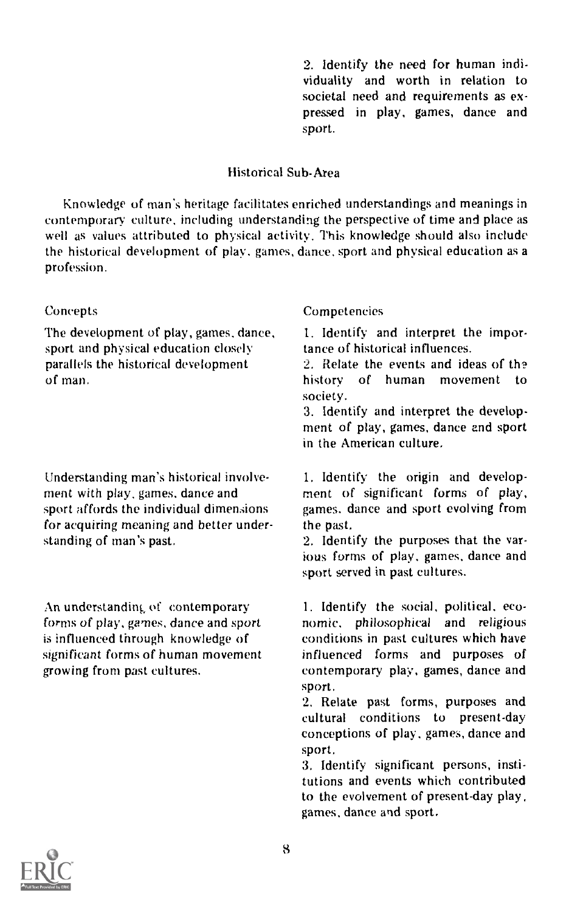2. Identify the need for human individuality and worth in relation to societal need and requirements as expressed in play, games, dance and sport.

# Historical Sub-Area

Knowledge of man's heritage facilitates enriched understandings and meanings in contemporary culture, including understanding the perspective of time and place as well as values attributed to physical activity. This knowledge should also include the historical development of play. games, dance. sport and physical education as a profession.

# **Concepts**

The development of play, games, dance, sport and physical education closely parallels the historical development of man.

Understanding man's historical involvement with play, games, dance and sport affords the individual dimensions for acquiring meaning and better understanding of man's past.

An understanding of contemporary forms of play, games, dance and sport is influenced through knowledge of significant forms of human movement growing from past cultures.

# **Competencies**

1. Identify and interpret the importance of historical influences.

2. Relate the events and ideas of th? history of human movement to society.

3. Identify and interpret the development of play, games, dance and sport in the American culture.

1. Identify the origin and development of significant forms of play, games. dance and sport evolving from the past.

2. Identify the purposes that the various forms of play, games, dance and sport served in past cultures.

1. Identify the social, political, economic, philosophical and religious conditions in past cultures which have influenced forms and purposes of contemporary play, games, dance and sport.

2. Relate past forms, purposes and cultural conditions to present-day conceptions of play, games, dance and sport.

3. Identify significant persons, institutions and events which contributed to the evolvement of present-day play. games, dance and sport.

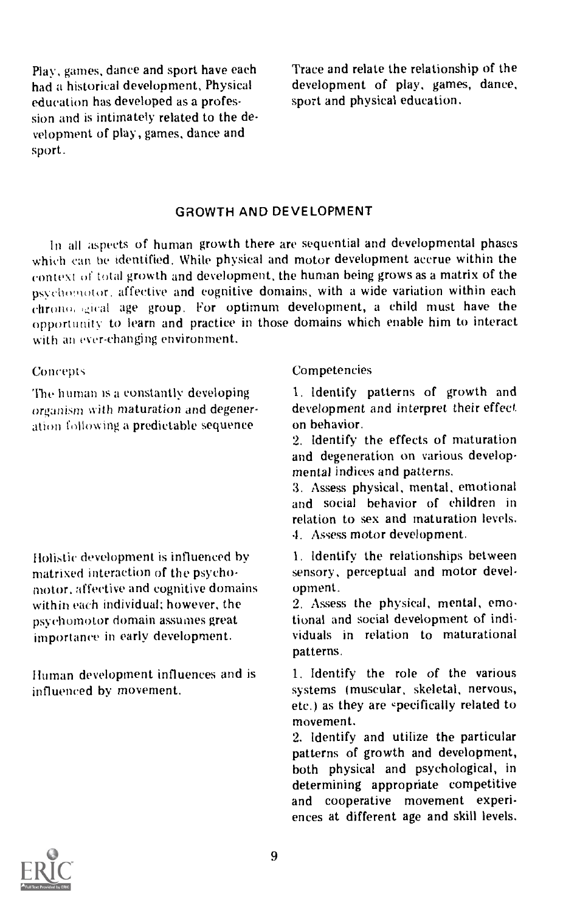Play, games, dance and sport have each had a historical development. Physical education has developed as a profession and is intimately related to the development of play, games, dance and sport.

Trace and relate the relationship of the development of play, games, dance, sport and physical education.

# GROWTH AND DEVELOPMENT

In all aspects of human growth there are sequential and developmental phases which can be identified. While physical and motor development accrue within the context of total growth and development, the human being grows as a matrix of the psychomotor, affective and cognitive domains, with a wide variation within each throw,. ,gical age group. For optimum development, a child must have the opportunity to learn and practice in those domains which enable him to interact with an ever-changing environment.

#### **Concepts**

The human is a constantly developing organism with maturation and degeneration following a predictable sequence

Ilolistic development is influenced by matrixed interaction of the psychomotor, affective and cognitive domains within each individual; however, the psychomotor domain assumes great importance in early development.

Human development influences and is influenced by movement.

#### Competencies

1. Identify patterns of growth and development and interpret their effect on behavior.

2. Identify the effects of maturation and degeneration on various developmental indices and patterns.

3. Assess physical, mental, emotional and social behavior of children in relation to sex and maturation levels. 4. Assess motor development.

1. Identify the relationships between sensory, perceptual and motor development.

2. Assess the physical, mental, emotional and social development of individuals in relation to maturational patterns.

1. Identify the role of the various systems (muscular, skeletal, nervous, etc.) as they are *specifically* related to movement.

2. Identify and utilize the particular patterns of growth and development, both physical and psychological, in determining appropriate competitive and cooperative movement experiences at different age and skill levels.

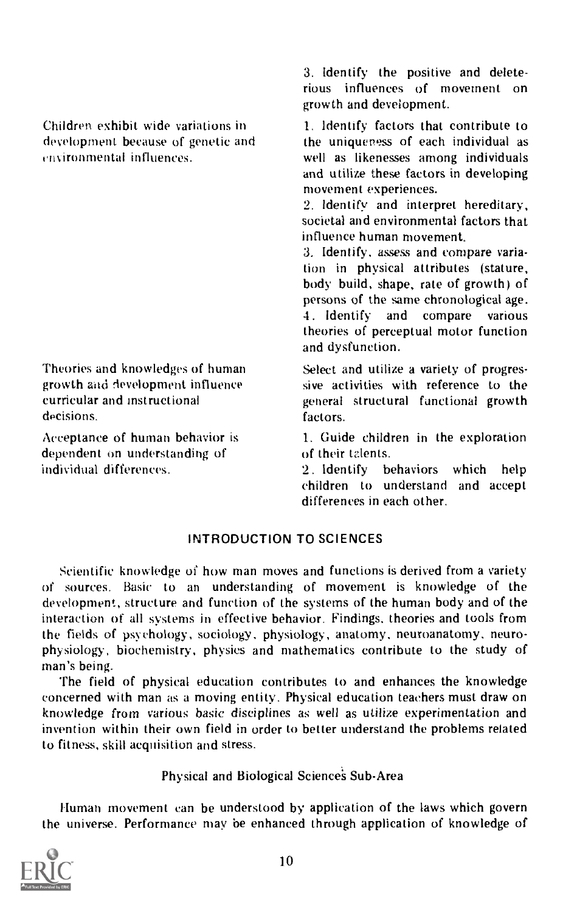Children exhibit wide variations in development because of genetic and vironmental influences.

Theories and knowledges of human growth and development influence curricular and instructional decisions.

Acceptance of human behavior is dependent on understanding of individual differences.

3. Identify the positive and deleterious influences of movement on growth and development.

1. Identify factors that contribute to the uniqueness of each individual as well as likenesses among individuals and utilize these factors in developing movement experiences.

2. Identify and interpret hereditary, societal and environmental factors that influence human movement.

3. Identify, assess and compare variation in physical attributes (stature, body build, shape, rate of growth) of persons of the same chronological age. 4. Identify and compare various theories of perceptual motor function and dysfunction.

Select and utilize a variety of progressive activities with reference to the general structural functional growth factors.

1. Guide children in the exploration of their tzlents.

2. Identify behaviors which help children to understand and accept differences in each other.

# INTRODUCTION TO SCIENCES

Scientific knowledge of how man moves and functions is derived from a variety of sources. Basic to an understanding of movement is knowledge of the development, structure and function of the systems of the human body and of the interaction of all systems in effective behavior. Findings, theories and tools from the fields of psychology, sociology, physiology, anatomy, neuroanatomy, neurophysiology, biochemistry, physics and mathematics contribute to the study of man's being.

The field of physical education contributes to and enhances the knowledge concerned with man as a moving entity. Physical education teachers must draw on knowledge from various basic disciplines as well as utilize experimentation and invention within their own field in order to better understand the problems related to fitness, skill acquisition and stress.

Physical and Biological Sciences Sub-Area

Human movement can be understood by application of the laws which govern the universe. Performance may be enhanced through application of knowledge of

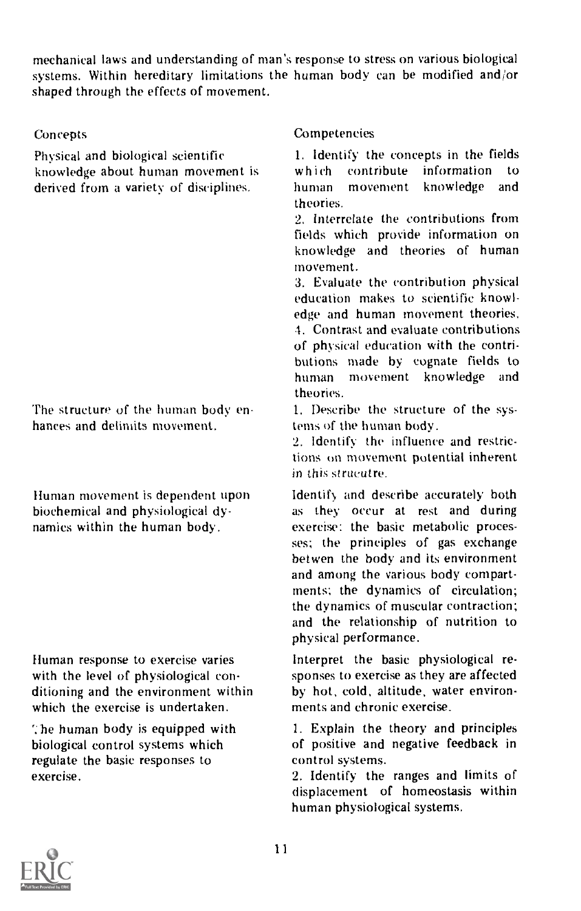mechanical laws and understanding of man's response to stress on various biological systems. Within hereditary limitations the human body can be modified and/or shaped through the effects of movement.

# Concepts

Physical and biological scientific knowledge about human movement is derived from a variety of disciplines.

The structure of the human body enhances and delimits movement.

Human movement is dependent upon biochemical and physiological dynamics within the human body.

Human response to exercise varies with the level of physiological conditioning and the environment within which the exercise is undertaken.

':be human body is equipped with biological control systems which regulate the basic responses to exercise.

# **Competencies**

1. Identify the concepts in the fields which contribute information to human movement knowledge and theories.

2. Interrelate the contributions from fields which provide information on knowledge and theories of human movement.

3. Evaluate the contribution physical education makes to scientific knowledge and human movement theories. -1. Contrast and evaluate contributions of physical education with the contributions made by cognate fields to human movement knowledge and theories.

1. Describe the structure of the systems of the human body.

2. Identify the influence and restrictions on movement potential inherent in this strucutre.

Identify and describe accurately both as they occur at rest and during exercise: the basic metabolic processes; the principles of gas exchange betwen the body and its environment and among the various body compartments: the dynamics of circulation; the dynamics of muscular contraction; and the relationship of nutrition to physical performance.

Interpret the basic physiological responses to exercise as they are affected by hot, cold, altitude, water environments and chronic exercise.

1. Explain the theory and principles of positive and negative feedback in control systems.

2. Identify the ranges and limits of displacement of homeostasis within human physiological systems.

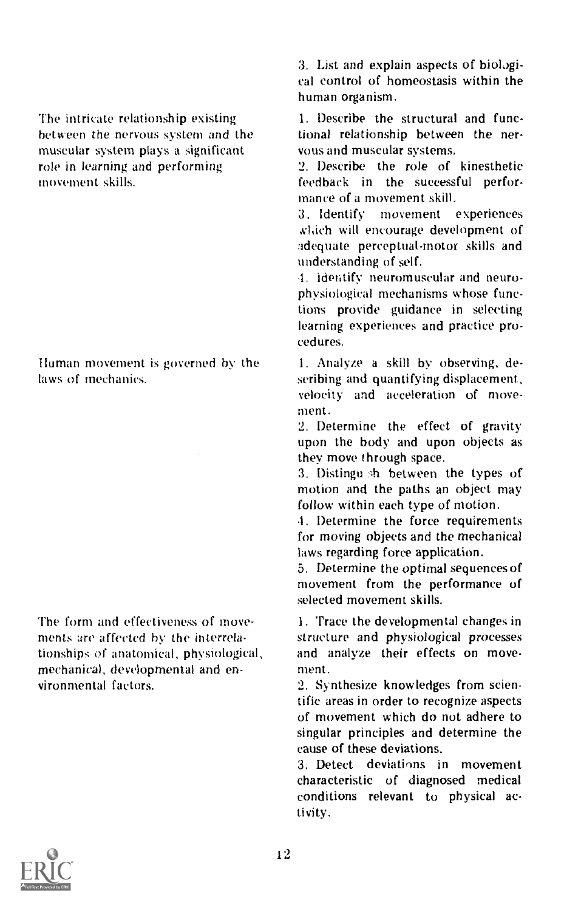The intricate relationship existing between the nervous system and the muscular system plays a significant role in learning and performing movement skills.

Human movement is governed by the laws of mechanics.

The form and effectiveness of movements are affected by the interrelationships of anatomical, physiological, mechanical, developmental and environmental factors.

3. List and explain aspects of biological control of homeostasis within the human organism.

1. Describe the structural and functional relationship between the nervous and muscular systems.

2. Describe the role of kinesthetic feedback in the successful performance of a movement skill.

3. Identify movement experiences which will encourage development of adequate perceptual-motor skills and understanding of self.

.1. identify neuromuscular and neurophysiological mechanisms whose functions provide guidance in selecting learning experiences and practice procedures.

I. Analyze a skill by observing, describing and quantifying displacement, velocity and acceleration of movement.

2. Determine the effect of gravity upon the body and upon objects as they move through space.

3. Distingu sh between the types of motion and the paths an object may follow within each type of motion.

.1. Determine the force requirements for moving objects and the mechanical laws regarding force application.

5. Determine the optimal sequences of movement from the performance of selected movement skills.

1. Trace the developmental changes in structure and physiological processes and analyze their effects on movement.

2. Synthesize knowledges from scientific areas in order to recognize aspects of movement which do not adhere to singular principles and determine the cause of these deviations.

3. Detect deviations in movement characteristic of diagnosed medical conditions relevant to physical ac tivity.

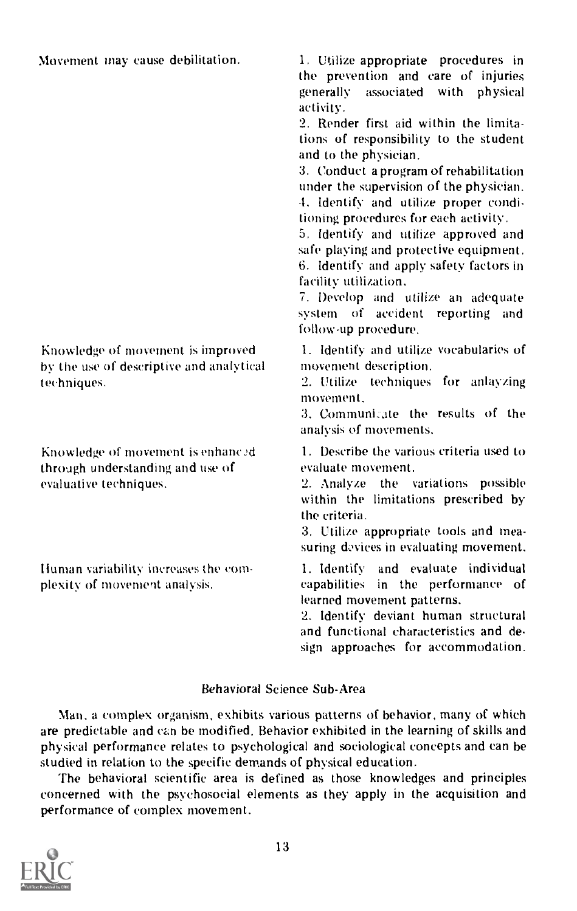Movement may cause debilitation.

Knowledge of movement is improved by the use of descriptive and analytical techniques.

Knowledge of movement is enhanc through understanding and use of evaluative techniques.

Iluman variability increases the complexity of movement analysis.

1. Utilize appropriate procedures in the prevention and care of injuries generally associated with physical activity.

2. Render first aid within the limitations of responsibility to the student and to the physician.

3. Conduct a program of rehabilitation under the supervision of the physician. -1. Identify and utilize proper conditioning procedures for each activity.

5. Identify and utilize approved and safe playing and protective equipment. 6. Identify and apply safety factors in facility utilization.

7. Develop and utilize an adequate system of accident reporting and follow-up procedure.

1. Identify and utilize vocabularies of movement description.

2. Utilize techniques for anlayzing movement.

3. Communicate the results of the analysis of movements.

1. Describe the various criteria used to evaluate movement.

2. Analyze the variations possible within the limitations prescribed by the criteria.

3. Utilize appropriate tools and measuring devices in evaluating movement.

1. Identify and evaluate individual capabilities in the performance of learned movement patterns.

2. Identify deviant human structural and functional characteristics and design approaches for accommodation.

# Behavioral Science Sub-Area

Man, a complex organism, exhibits various patterns of behavior, many of which are predictable and can be modified. Behavior exhibited in the learning of skills and physical performance relates to psychological and sociological concepts and can be studied in relation to the specific demands of physical education.

The behavioral scientific area is defined as those knowledges and principles concerned with the psychosocial elements as they apply in the acquisition and performance of complex movement.

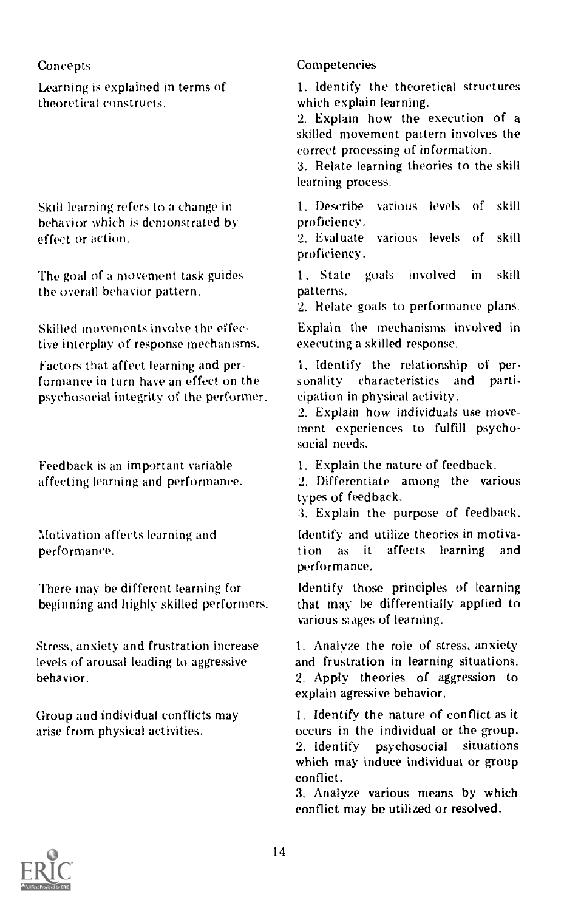# Concepts

Learning is explained in terms of theoretical constructs.

Skill learning refers to a change in behavior which is demonstrated by effect or action.

The goal of a movement task guides the overall behavior pattern.

Skilled movements involve the effective interplay of response mechanisms.

Factors that affect learning and performance in turn have an effect on the psychosocial integrity of the performer.

Feedback is an important variable affecting learning and performance.

Motivation affects learning and performance.

There may be different learning for beginning and highly skilled performers.

Stress, anxiety and frustration increase levels of arousal leading to aggressive behavior.

Group and individual conflicts may arise from physical activities.

# Competencies

1. Identify the theoretical structures which explain learning.

2. Explain how the execution of a skilled movement pattern involves the correct processing of information.

3. Relate learning theories to the skill learning process.

1. Describe various levels of skill proficiency.

2. Evaluate various levels of skill proficiency.

1. State goals involved in skill patterns.

2. Relate goals to performance plans.

Explain the mechanisms involved in executing a skilled response.

1. Identify the relationship of per. sonality characteristics and participation in physical activity.

2. Explain how individuals use movement experiences to fulfill psychosocial needs.

1. Explain the nature of feedback.

2. Differentiate among the various types of feedback.

3. Explain the purpose of feedback.

Identify and utilize theories in motivation as it affects learning and performance.

Identify those principles of learning that may be differentially applied to various singes of learning.

1. Analyze the role of stress, anxiety and frustration in learning situations. 2. Apply theories of aggression to explain agressive behavior.

I. Identify the nature of conflict as it occurs in the individual or the group. 2. Identify psychosocial situations which may induce individuat or group conflict.

3. Analyze various means by which conflict may be utilized or resolved.

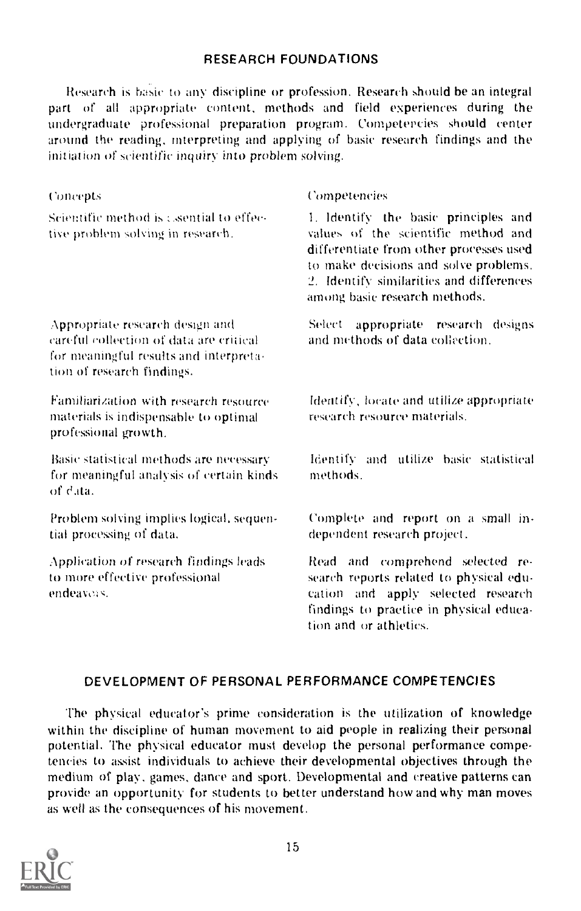# RESEARCH FOUNDATIONS

Research is basic to any discipline or profession. Research should be an integral part of all appropriate content, methods and field experiences during the undergraduate professional preparation program. Competencies should center around the reading, interpreting and applying of basic research findings and the initiation of scientific inquiry into problem solving.

| Concepts                                                                                                                                           | Competencies                                                                                                                                                                                                                                 |  |
|----------------------------------------------------------------------------------------------------------------------------------------------------|----------------------------------------------------------------------------------------------------------------------------------------------------------------------------------------------------------------------------------------------|--|
| Scientific method is a sential to effec-<br>tive problem solving in research.                                                                      | 1. Identify the basic principles and<br>values of the scientific method and<br>differentiate from other processes used<br>to make decisions and solve problems.<br>2. Identify similarities and differences<br>among basic research methods. |  |
| Appropriate research design and<br>careful collection of data are critical<br>for meaningful results and interpreta-<br>tion of research findings. | appropriate research designs<br>Select<br>and methods of data collection.                                                                                                                                                                    |  |
| Familiarization with research resource<br>materials is indispensable to optimal<br>professional growth.                                            | Identify, locate and utilize appropriate<br>research resource materials.                                                                                                                                                                     |  |
| Basic statistical methods are necessary<br>for meaningful analysis of certain kinds<br>of data.                                                    | Identify and utilize basic statistical<br>methods.                                                                                                                                                                                           |  |
| Problem solving implies logical, sequen-<br>tial processing of data.                                                                               | Complete and report on a small in-<br>dependent research project.                                                                                                                                                                            |  |
| Application of research findings leads<br>to more effective professional<br>endeavors.                                                             | Read and comprehend selected re-<br>search reports related to physical edu-<br>cation and apply selected research<br>findings to practice in physical educa-<br>tion and or athletics.                                                       |  |

# DEVELOPMENT OF PERSONAL PERFORMANCE COMPETENCIES

The physical educator's prime consideration is the utilization of knowledge within the discipline of human movement to aid people in realizing their personal potential. The physical educator must develop the personal performance competencies to assist individuals to achieve their developmental objectives through the medium of play, games, dance and sport. Developmental and creative patterns can provide an opportunity for students to better understand how and why man moves as well as the consequences of his movement.

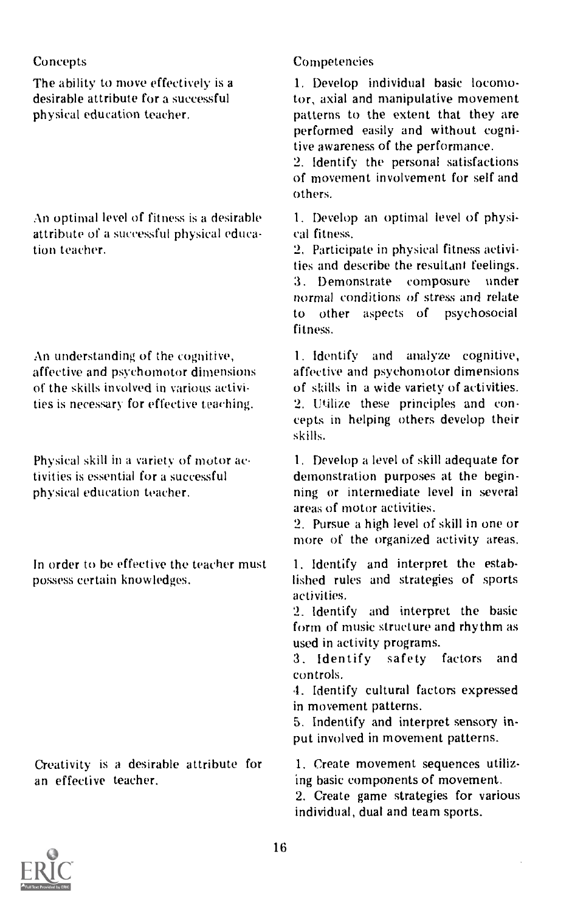# Concepts

The ability to move effectively is a desirable attribute for a successful physical education teacher.

An optimal level of fitness is a desirable attribute of a successful physical education teacher.

An understanding of the cognitive, affective and psychomotor dimensions of the skills involved in various activities is necessary for effective teaching.

Physical skill in a variety of motor activities is essential for a successful physical education teacher.

In order to be effective the teacher must possess certain knowledges.

Creativity is a desirable attribute for an effective teacher.

# Competencies

1. Develop individual basic locomotor, axial and manipulative movement patterns to the extent that they are performed easily and without cognitive awareness of the performance.

2. Identify the personal satisfactions of movement involvement for self and others.

1. Develop an optimal level of physical fitness.

2. Participate in physical fitness activities and describe the resultant feelings.<br>3. Demonstrate composure under 3. Demonstrate composure normal conditions of stress and relate to other aspects of psychosocial fitness.

1. Identify and analyze cognitive, affective and psychomotor dimensions of skills in a wide variety of activities. 2. Utilize these principles and concepts in helping others develop their skills.

1. Develop a level of skill adequate for demonstration purposes at the beginning or intermediate level in several areas of motor activities.

2. Pursue a high level of skill in one or more of the organized activity areas.

1. Identify and interpret the established rules and strategies of sports activities.

2. Identify and interpret the basic form of music structure and rhythm as used in activity programs.

3. Identify safety factors and controls.

4. Identify cultural factors expressed in movement patterns.

5. Indentify and interpret sensory input involved in movement patterns.

1. Create movement sequences utilizing basic components of movement.

2. Create game strategies for various individual, dual and team sports.

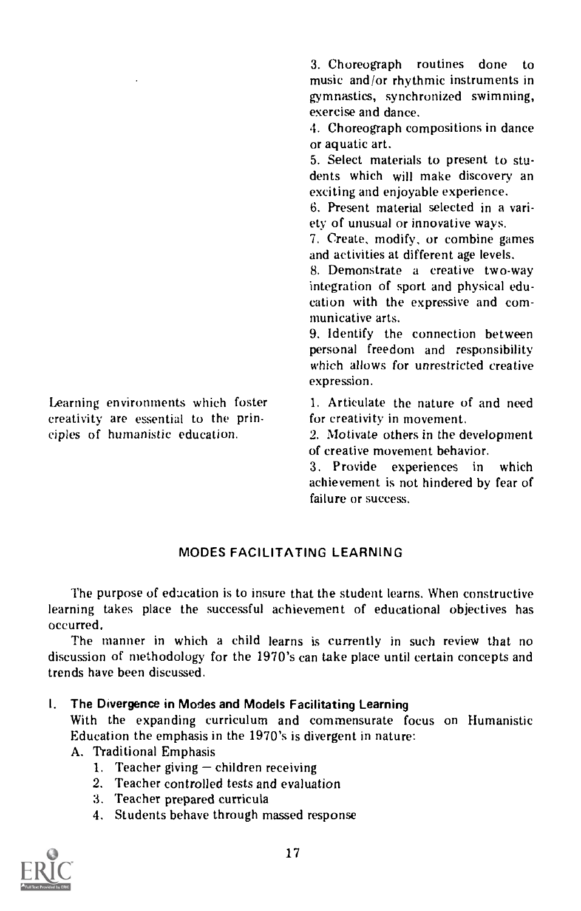Learning environments which foster creativity are essential to the principles of humanistic education.

3. Choreograph routines done to music and/or rhythmic instruments in gymnastics, synchronized swimming, exercise and dance.

4. Choreograph compositions in dance or aquatic art.

5. Select materials to present to students which will make discovery an exciting and enjoyable experience.

6. Present material selected in a variety of unusual or innovative ways.

7. Create, modify, or combine games and activities at different age levels.

8. Demonstrate a creative two-way integration of sport and physical education with the expressive and communicative arts.

9. Identify the connection between personal freedom and responsibility which allows for unrestricted creative expression.

1. Articulate the nature of and need for creativity in movement.

2. Motivate others in the development of creative movement behavior.

3. Provide experiences in which achievement is not hindered by fear of failure or success.

# MODES FACILITATING LEARNING

The purpose of education is to insure that the student learns. When constructive learning takes place the successful achievement of educational objectives has occurred.

The manner in which a child learns is currently in such review that no discussion of methodology for the 1970's can take place until certain concepts and trends have been discussed.

I. The Divergence in Modes and Models Facilitating Learning

With the expanding curriculum and commensurate focus on Humanistic Education the emphasis in the 1970's is divergent in nature:

- A. Traditional Emphasis
	- 1. Teacher giving  $-\text{children receiving}$
	- 2. Teacher controlled tests and evaluation
	- 3. Teacher prepared curricula
	- 4. Students behave through massed response

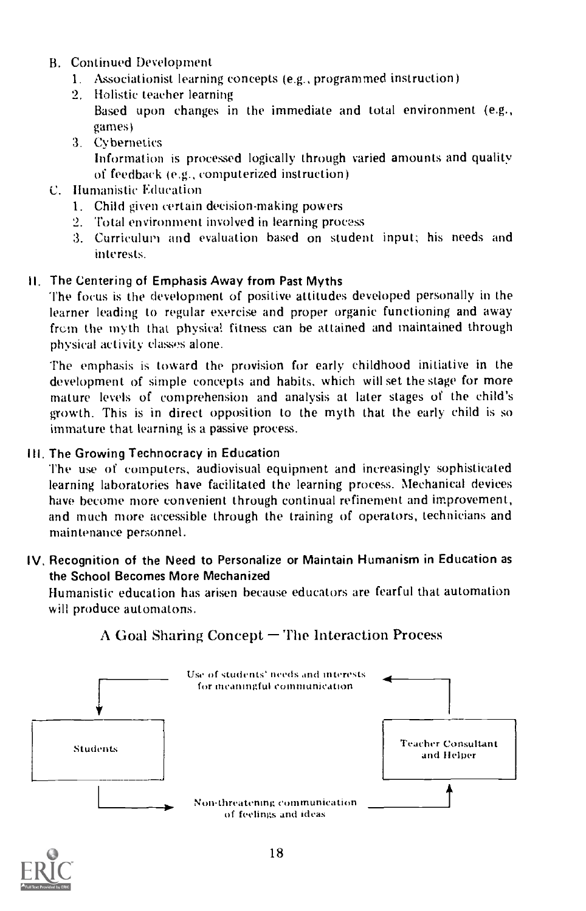- B. Continued Development
	- 1. Associationist learning concepts (e.g., programmed instruction)
	- 2. Holistic teacher learning Based upon changes in the immediate and total environment (e.g., games)
	- 3. Cybernetics Information is processed logically through varied amounts and quality of feedback (e.g., computerized instruction)
- C. Ilumanistic Education
	- 1. Child given certain decision-making powers
	- 2. Total environment involved in learning process
	- 3. Curriculum and evaluation based on student input; his needs and interests.

# II. The Centering of Emphasis Away from Past Myths

The focus is the development of positive attitudes developed personally in the learner leading to regular exercise and proper organic functioning and away from the myth that physical fitness can be attained and maintained through physical activity classes alone.

The emphasis is toward the provision for early childhood initiative in the development of simple concepts and habits, which will set the stage for more mature levels of comprehension and analysis at later stages of the child's growth. This is in direct opposition to the myth that the early child is so immature that learning is a passive process.

# III. The Growing Technocracy in Education

The use of computers, audiovisual equipment and increasingly sophisticated learning laboratories have facilitated the learning process. Mechanical devices have become more convenient through continual refinement and improvement, and much more accessible through the training of operators, technicians and maintenance personnel.

# IV. Recognition of the Need to Personalize or Maintain Humanism in Education as the School Becomes More Mechanized

Humanistic education has arisen because educators are fearful that automation will produce automatons.



# $\Lambda$  Goal Sharing Concept  $\Gamma$ The Interaction Process

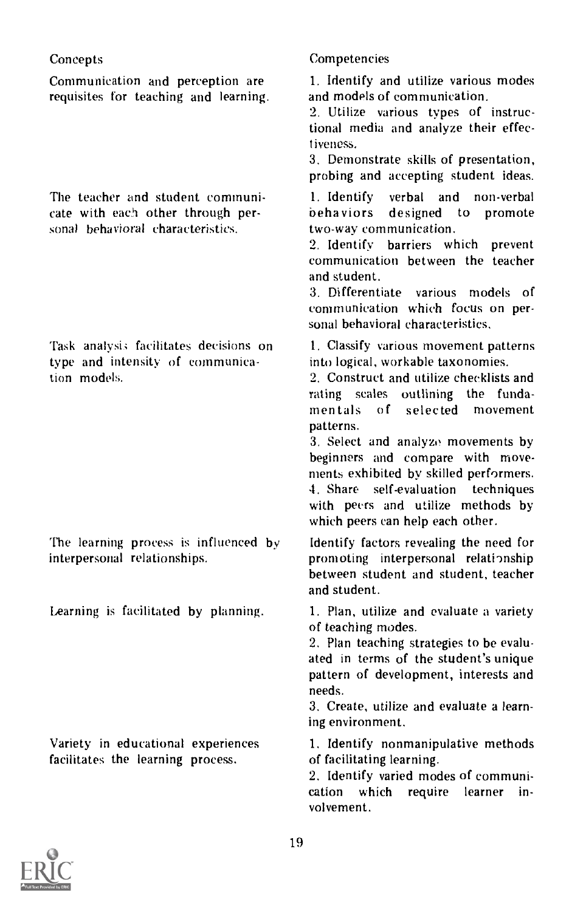requisites for teaching and learning.

cate with each other through per-<br>sonal behavioral characteristics. The two-way communication. sonal behavioral characteristics.

type and intensity of communica-<br>tion models.

facilitates the learning process. of facilitating learning.

# Concepts Competencies

Communication and perception are 1. Identify and utilize various modes<br>requisites for teaching and learning. and models of communication.

2. Utilize various types of instructional media and analyze their effectiveness.

3. Demonstrate skills of presentation, probing and accepting student ideas.

The teacher and student communi-<br>
cate with each other through per-<br>
behaviors designed to promote

2. Identify barriers which prevent communication between the teacher and student.

3. Differentiate various models of communication which focus on personal behavioral characteristics.

Task analysis facilitates decisions on 1. Classify various movement patterns type and intensity of communica-<br>type and intensity of communica-<br>the logical, workable taxonomies.

2. Construct and utilize checklists and rating scales outlining the fundamentals of selected movement patterns.

3. Select and analyze movements by beginners and compare with movements exhibited by skilled performers. 4. Share self-evaluation techniques with peers and utilize methods by which peers can help each other.

The learning process is influenced  $\mathbf{b}y$  Identify factors revealing the need for interpersonal relationship promoting interpersonal relationship between student and student, teacher and student.

Learning is facilitated by planning. 1. Plan, utilize and evaluate a variety of teaching modes.

> 2. Plan teaching strategies to be evaluated in terms of the student's unique pattern of development, interests and needs.

> 3. Create, utilize and evaluate a learning environment.

Variety in educational experiences 1. Identify nonmanipulative methods

2. Identify varied modes of communication which require learner involvement.

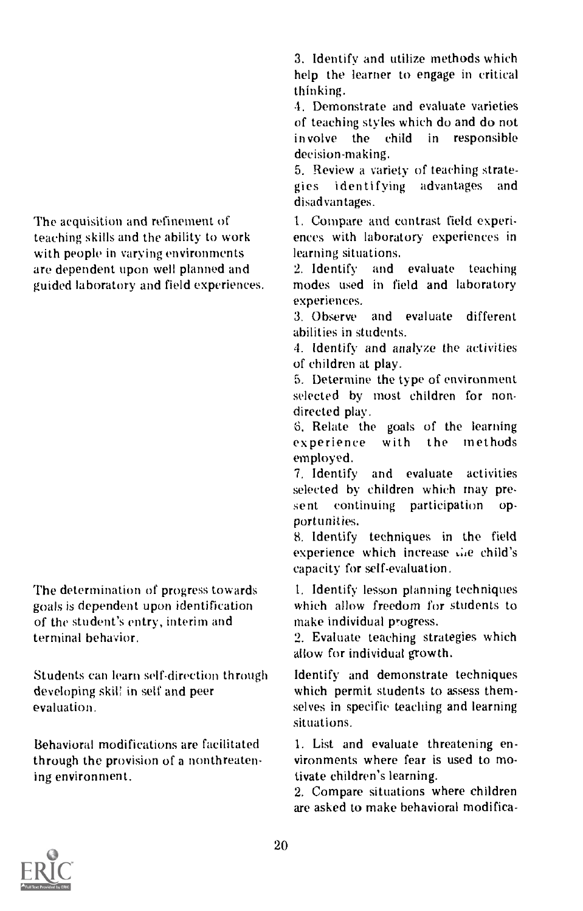The acquisition and refinement of teaching skills and the ability to work with people in varying environments are dependent upon well planned and guided laboratory and field experiences.

The determination of progress towards goals is dependent upon identification of the student's entry, interim and terminal behavior.

Students can learn self-direction through developing skil! in self and peer evaluation.

Behavioral modifications are facilitated through the provision of a nonthreatening environment.

3, Identify and utilize methods which help the learner to engage in critical thinking.

4. Demonstrate and evaluate varieties of teaching styles which do and do not involve the child in responsible decision-making.

5. Review a variety of teaching strategies identifying advantages and disadvantages.

1. Compare and contrast field experiences with laboratory experiences in learning situations.

2. Identify and evaluate teaching modes used in field and laboratory experiences.

3. Observe and evaluate different abilities in students.

4. Identify and analyze the activities of children at play.

5. Determine the type of environment selected by most children for nondirected play.

6. Relate the goals of the learning<br>experience with the methods with the methods employed.

7. Identify and evaluate activities selected by children which may present continuing participation opportunities.

8. Identify techniques in the field experience which increase the child's capacity for self-evaluation.

1. Identify lesson planning techniques which allow freedom for students to make individual progress.

2. Evaluate teaching strategies which allow for individual growth.

Identify and demonstrate techniques which permit students to assess themselves in specific teaching and learning situations.

1. List and evaluate threatening environments where fear is used to motivate children's learning.

2. Compare situations where children are asked to make behavioral modifica-

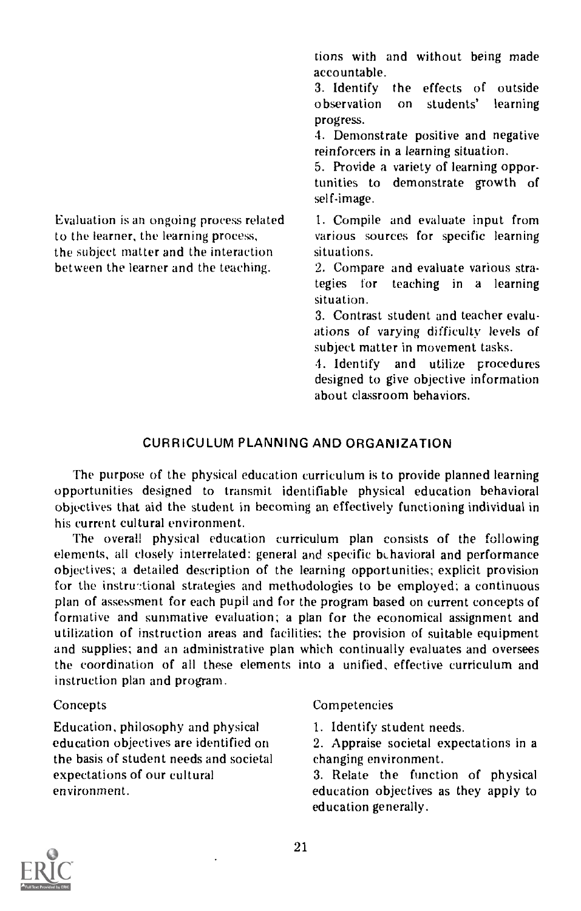Evaluation is an ongoing process related to the learner, the learning process, the subject matter and the interaction between the learner and the teaching.

tions with and without being made accountable.

3. Identify the effects of outside<br>observation on students' learning students' progress.

4. Demonstrate positive and negative reinforcers in a learning situation.

5. Provide a variety of learning opportunities to demonstrate growth of self-image.

1. Compile and evaluate input from various sources for specific learning situations.

2. Compare and evaluate various stra-<br>tegies for teaching in a learning teaching in a learning situation.

3. Contrast student and teacher evaluations of varying difficulty levels of subject matter in movement tasks.

. Identify and utilize procedures designed to give objective information about classroom behaviors.

# CURRICULUM PLANNING AND ORGANIZATION

The purpose of the physical education curriculum is to provide planned learning opportunities designed to transmit identifiable physical education behavioral objectives that aid the student in becoming an effectively functioning individual in his current cultural environment.

The overall physical education curriculum plan consists of the following elements, all closely interrelated: general and specific behavioral and performance objectives; a detailed description of the learning opportunities; explicit provision for the instructional strategies and methodologies to be employed; a continuous plan of assessment for each pupil and for the program based on current concepts of formative and summative evaluation; a plan for the economical assignment and utilization of instruction areas and facilities; the provision of suitable equipment and supplies; and an administrative plan which continually evaluates and oversees the coordination of all these elements into a unified, effective curriculum and instruction plan and program.

# **Concepts**

Education, philosophy and physical education objectives are identified on the basis of student needs and societal expectations of our cultural environment.

# Competencies

1. Identify student needs.

2. Appraise societal expectations in a changing environment.

3. Relate the function of physical education objectives as they apply to education generally.

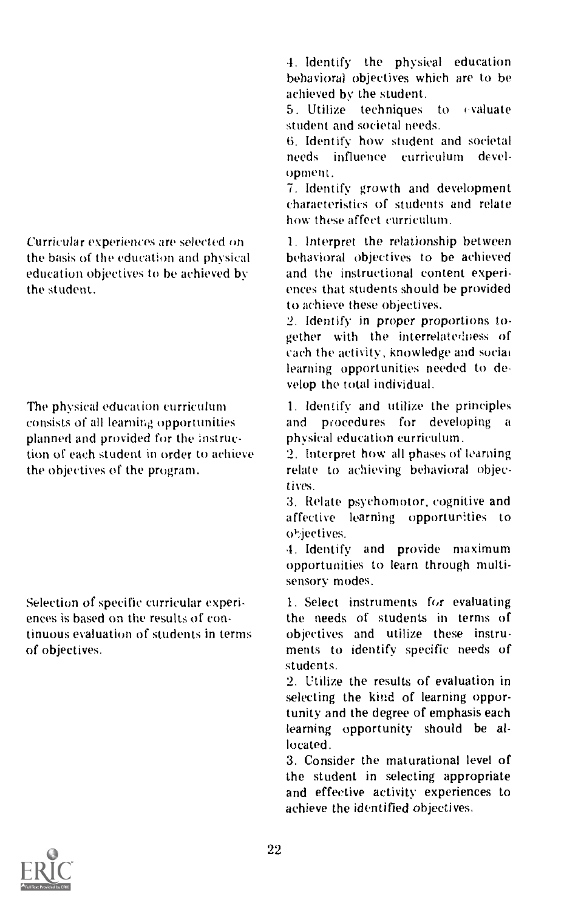Curricular experiences are selected on the basis of the education and physical education objectives to be achieved by the student.

The physical education curriculum consists of all learning opportunities planned and provided for the instruction of each student in order to achieve the objectives of the program.

Selection of specific curricular experiences is based on the results of continuous evaluation of students in terms of objectives.

4. Identify the physical education behavioral objectives which are to be achieved by the student.<br>5. Utilize techniques to evaluate

5. Utilize techniques student and societal needs.

6. Identify how student and societal needs influence curriculum development.

7. Identify growth and development characteristics of students and relate how these affect curriculum.

1. Interpret the relationship between behavioral objectives to be achieved and the instructional content experiences that students should be provided to achieve these objectives.

2. Identify in proper proportions together with the interrelatedness of cach the activity, knowledge and social learning opportunities needed to de velop the total individual.

I. Identify and utilize the principles and procedures for developing <sup>a</sup>physical education curriculum.

2. Interpret how all phases of learning relate to achieving behavioral objectives.

3. Relate psychomotor, cognitive and affective learning opportunities to objectives.

1. Identify and provide maximum opportunities to learn through multisensory modes.

1. Select instruments for evaluating the needs of students in terms of objectives and utilize these instruments to identify specific needs of students.

2. Utilize the results of evaluation in selecting the kind of learning opportunity and the degree of emphasis each learning opportunity should be allocated.

3. Consider the maturational level of the student in selecting appropriate and effective activity experiences to achieve the identified objectives.

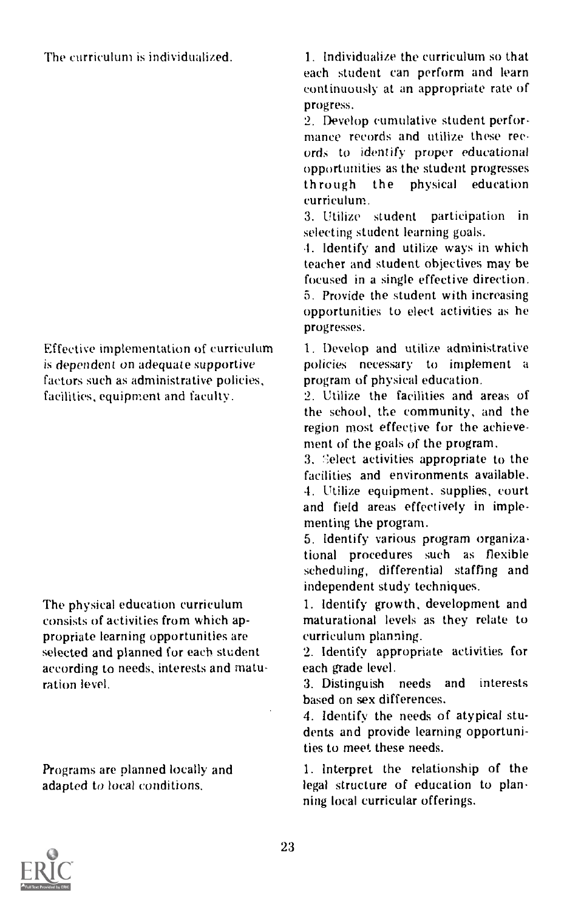# The curriculum is individualized.

Effective implementation of curriculum is dependent on adequate supportive factors such as administrative policies, facilities, equipment and faculty.

The physical education curriculum consists of activities from which appropriate learning opportunities are selected and planned for each student according to needs, interests and maturation level.

Programs are planned locally and adapted to local conditions.

1. Individualize the curriculum so that each student can perform and learn continuously at an appropriate rate of progress.

2. Develop cumulative student performance records and utilize these records to identify proper educational opportunities as the student progresses<br>through the physical education physical education curriculum.

3. Utilize student participation selecting student learning goals.

4. Identify and utilize ways in which teacher and student objectives may be focused in a single effective direction. 5. Provide the student with increasing opportunities to elect activities as he progresses.

1. Develop and utilize administrative policies necessary to implement a program of physical education.

2. Utilize the facilities and areas of the school, the community, and the region most effective for the achievement of the goals of the program.

3. Select activities appropriate to the facilities and environments available. 4. Utilize equipment. supplies, court and field areas effectively in implementing the program.

5. Identify various program organizational procedures such as flexible scheduling, differential staffing and independent study techniques.

1. Identify growth, development and maturational levels as they relate to curriculum planning.

2. Identify appropriate activities for each grade level.<br>3. Distinguish needs and

3. Distinguish needs and interests based on sex differences.

4. Identify the needs of atypical students and provide learning opportunities to meet these needs.

1. Interpret the relationship of the legal structure of education to planning local curricular offerings.

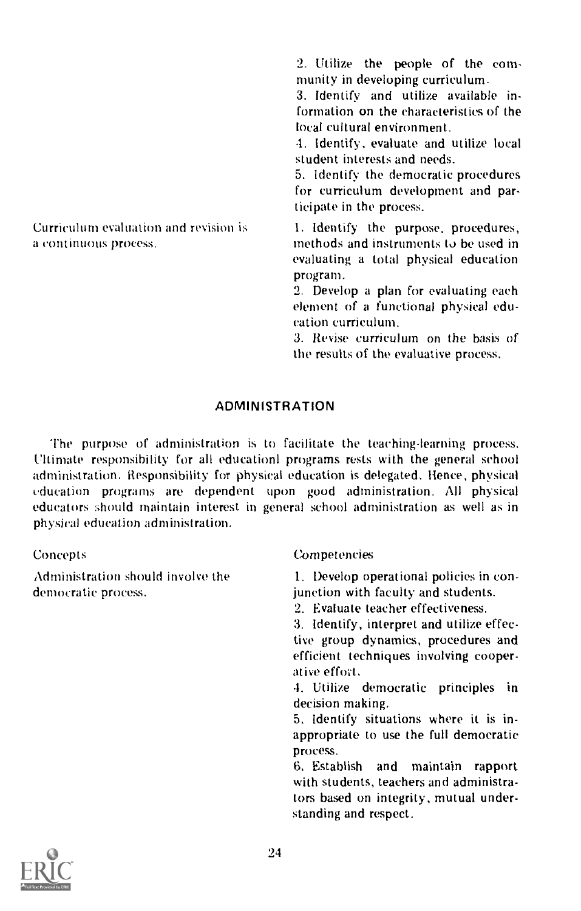2. Utilize the people of the community in developing curriculum.

3. Identify and utilize available information on the characteristics of the local cultural environment.

4. identify, evaluate and utilize local student interests and needs.

5. Identify the democratic procedures for curriculum development and participate in the process.

1. Identify the purpose, procedures, methods and instruments to be used in evaluating a total physical education program.

2. Develop a plan for evaluating each element of a functional physical education curriculum.

3. Revise curriculum on the basis of the results of the evaluative process.

# ADMINISTRATION

The purpose of administration is to facilitate the teaching-learning process. Ultimate responsibility for all education! programs rests with the general school administration. Responsibility for physical education is delegated. Hence, physical education programs are dependent upon good administration. All physical educators should maintain interest in general school administration as well as in physical education administration.

Administration should involve the democratic process.

Curriculum evaluation and revision is

a continuous process.

#### Concepts Competencies

1. Develop operational policies in conjunction with faculty and students.

2. Evaluate teacher effectiveness.

3. Identify, interpret and utilize effective group dynamics, procedures and efficient techniques involving cooperative effort.

4. Utilize democratic principles in decision making.

5. Identify situations where it is inappropriate to use the full democratic process.

6. Establish and maintain rapport with students, teachers and administrators based on integrity, mutual understanding and respect.

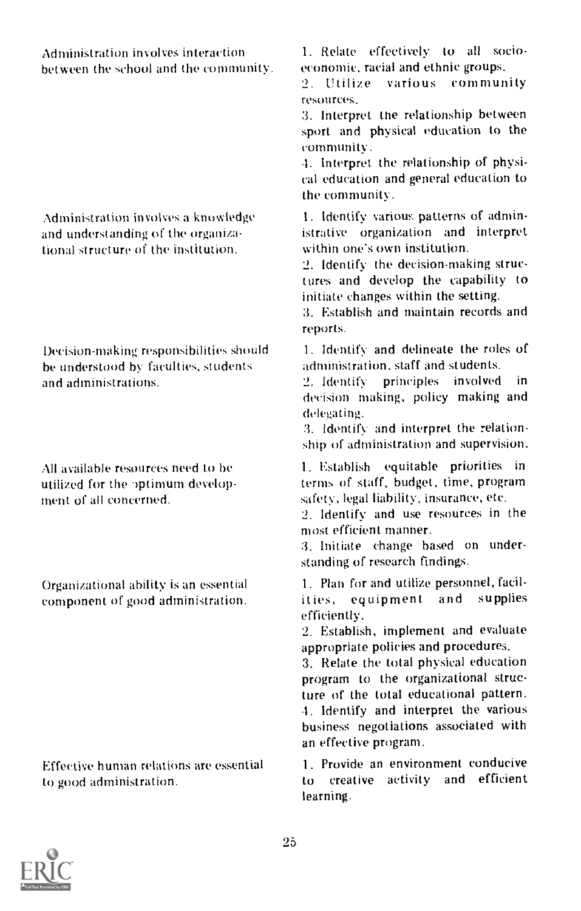between the school and the community. economic, racial ethnic groups.  $\frac{1}{2}$  Utilize

tional structure of the institution.

he understood by faculties, students administration, staff and students.<br>and administrations. (and administration) and administrations and administrations.

component of good administration.

to good administration.

Administration involves interaction 1. Relate effectively to all socio-<br>hetween the school and the community, economic, racial and ethnic groups.

various community resources.

3. Interpret the relationship between sport and physical education to the community.

-I. Interpret the relationship of physical education and general education to the community.

Administration involves a knowledge 1. Identify various patterns of admin-<br>and understanding of the organiza-<br>istrative organization and interpret istrative organization and interpret<br>within one's own institution.

> 2. Identify the decision-making structures and develop the capability to initiate changes within the setting.

> 3. Establish and maintain records and reports.

Decision-making responsibilities should 1. Identify and delineate the roles of help understood by faculties students

 $9$  Identify principles involved decision making, policy making and delegating.

:1. Identify and interpret the relationship of administration and supervision.

All available resources need to be 1. Establish equitable priorities in utilized for the optimum develop-<br>ment of all concerned. the safety, legal liability, insurance, etc. safety, legal liability, insurance, etc.

2. Identify and use resources in the most efficient manner.

3. Initiate change based on understanding of research findings.

Organizational ability is an essential 1. Plan for and utilize personnel, facil-<br>component of good administration. The state of the supplies efficiently,

> 2. Establish, implement and evaluate appropriate policies and procedures.

> 3. Relate the total physical education program to the organizational structure of the total educational pattern. -I. Identify and interpret the various business negotiations associated with an effective program.

Effective human relations are essential  $1.$  Provide an environment conducive to creative activity and efficient learning.

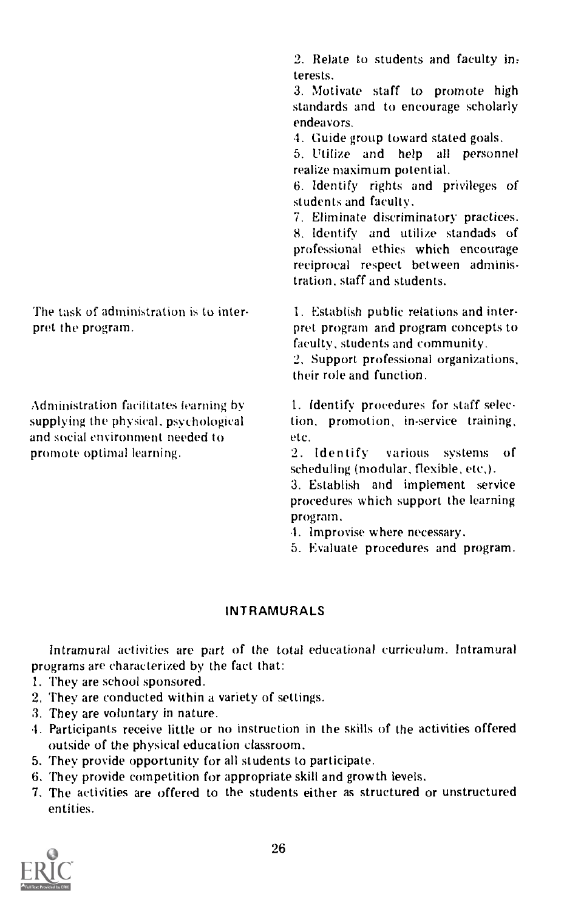The task of administration is to interpret the program.

Administration facilitates learning by supplying the physical, psychological and social environment needed to promote optimal learning.

2. Relate to students and faculty in, terests.

3. Motivate staff to promote high standards and to encourage scholarly endeavors.

4. Guide group toward stated goals.

5. Utilize and help all personnel realize maximum potential.

6. Identify rights and privileges of students and faculty.

7. Eliminate discriminatory practices. 8. Identify and utilize standads of professional ethics which encourage .<br>reciprocal respect between administration, staff and students.

1. Establish public relations and interpret program and program concepts to faculty, students and community.

2. Support professional organizations, their role and function.

1. Identify procedures for staff selection, promotion, in-service training, etc.

2. Identify various systems of scheduling (modular, flexible, etc.).

3. Establish and implement service procedures which support the learning program.

- 4. Improvise where necessary.
- 5. Evaluate procedures and program.

# INTRAMURALS

Intramural activities are part of the total educational curriculum. Intramural programs are characterized by the fact that:

- 1. They are school sponsored.
- 2. They are conducted within a variety of settings.
- 3. They are voluntary in nature.
- 4. Participants receive little or no instruction in the skills of the activities offered outside of the physical education classroom.
- 5. They provide opportunity for all students to participate.
- 6. They provide competition for appropriate skill and growth levels.
- 7. The activities are offered to the students either as structured or unstructured entities.

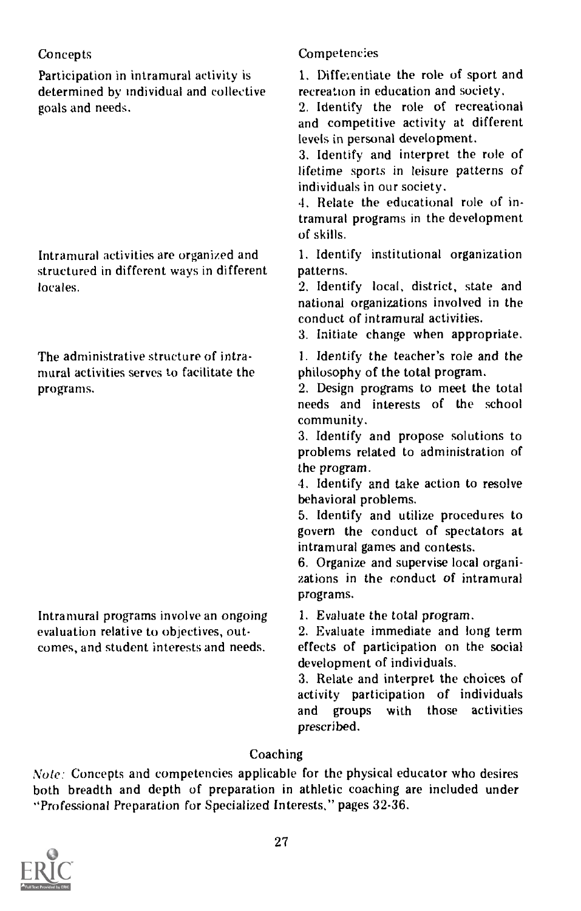# **Concepts**

Participation in intramural activity is determined by individual and collective goals and needs.

Intramural activities are organized and structured in different ways in different locales.

The administrative structure of intramural activities serves to facilitate the programs.

Intramural programs involve an ongoing evaluation relative to objectives, outcomes, and student interests and needs.

# Competencies

1. Differentiate the role of sport and recreation in education and society.

2. Identify the role of recreational and competitive activity at different levels in personal development.

3. Identify and interpret the role of lifetime sports in leisure patterns of individuals in our society.

4. Relate the educational role of intramural programs in the development of skills.

1. Identify institutional organization patterns.

2. Identify local, district, state and national organizations involved in the conduct of intramural activities.

3. Initiate change when appropriate.

1. Identify the teacher's role and the philosophy of the total program.

2. Design programs to meet the total needs and interests of the school community.

3. Identify and propose solutions to problems related to administration of the program.

4. Identify and take action to resolve behavioral problems.

5. Identify and utilize procedures to govern the conduct of spectators at intramural games and contests.

6. Organize and supervise local organizations in the conduct of intramural programs.

1. Evaluate the total program.

2. Evaluate immediate and long term effects of participation on the social development of individuals.

3. Relate and interpret the choices of activity participation of individuals and groups with those activities prescribed.

# Coaching

Note: Concepts and competencies applicable for the physical educator who desires both breadth and depth of preparation in athletic coaching are included under "Professional Preparation for Specialized Interests," pages 32-36.

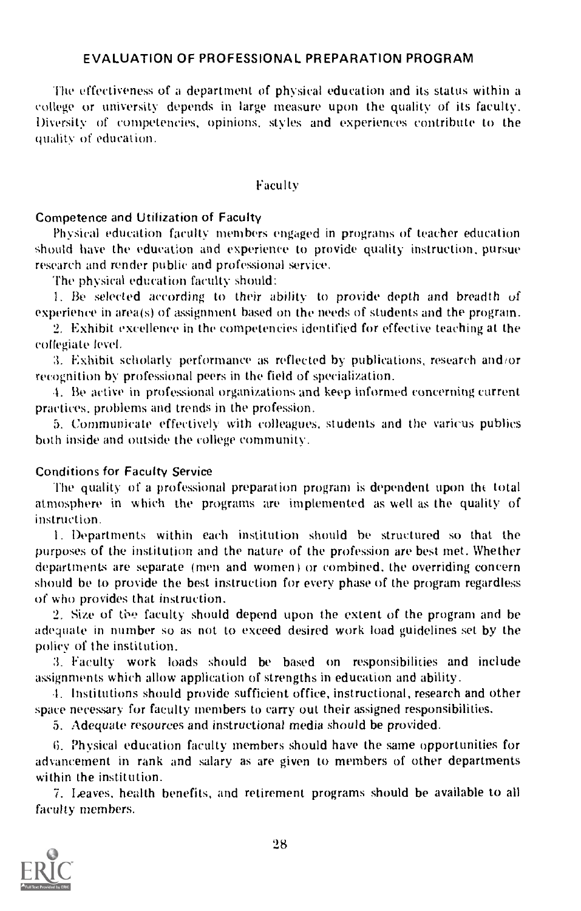### EVALUATION OF PROFESSIONAL PREPARATION PROGRAM

The effectiveness of a department of physical education and its status within a college or university depends in large measure upon the quality of its faculty. Diversity of competencies, opinions, styles and experiences contribute to the quality of education.

#### Faculty

#### Competence and Utilization of Faculty

Physical education faculty members engaged in programs of teacher education should have the education and experience to provide quality instruction, pursue research and render public and professional service.

The physical education faculty should:

1. Be selected according to their ability to provide depth and breadth of experience in area(s) of assignment based on the needs of students and the program.

2. Exhibit excellence in the competencies identified for effective teaching at the collegiate level.

I. Exhibit scholarly performance as reflected by publications, research and/or recognition by professional peers in the field of specialization.

1. Be active in professional organizations and keep informed concerning current practices, problems and trends in the profession.

5. Communicate effectively with colleagues. students and the various publics both inside and outside the college community.

#### Conditions for Faculty Service

The quality of a professional preparation program is dependent upon the total atmosphere in which the programs are implemented as well as the quality of instruction.

1. Departments within each institution should be structured so that the purposes of the institution and the nature of the profession are best met. Whether departments are separate (men and women ) or combined, the overriding concern should be to provide the best instruction for every phase of the program regardless of who provides that instruction.

2. Size of the faculty should depend upon the extent of the program and be adequate in number so as not to exceed desired work load guidelines set by the policy of the institution.

:I. Faculty work loads should be based on responsibilities and include assignments which allow application of strengths in education and ability.

1. Institutions should provide sufficient office, instructional, research and other space necessary for faculty members to carry out their assigned responsibilities.

5. Adequate resources and instructional media should be provided.

Physical education faculty members should have the same opportunities for advancement in rank and salary as are given to members of other departments within the institution.

7. Leaves. health benefits, and retirement programs should be available to all faculty members.

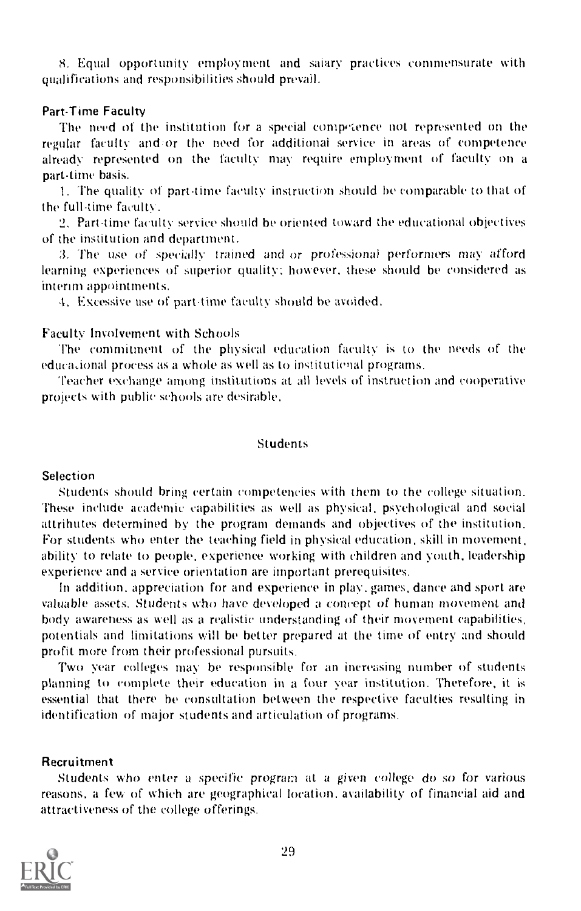8. Equal opportunity employment and salary practices commensurate with qualifications and responsibilities should prevail.

#### Part-Time Faculty

The need of the institution for a special competence not represented on the regular faculty and, or the need for additional service in areas of competence already represented on the faculty may require employment of faculty on a part-time basis.

1. The quality of part-time faculty instruction should be comparable to that of the full-time faculty.

2. Part-time faculty service should be oriented toward the educational objectives of the institution and department.

3. The use of specially trained and or professional performers may afford learning experiences of superior quality; however, these should be considered as interim appointments.

4. Excessive use of part-time faculty should be avoided.

# Faculty Involvement with Schools

The commitment of the physical education faculty is to the needs of the educational process as a whole as well as to institutional programs.

Teacher exchange among institutions at all levels of instruction and cooperative projects with public schools are desirable.

#### Students

# **Selection**

Students should bring certain competencies with them to the college situation. These include academic capabilities as well as physical, psychological and social attrihutes determined by the program demands and objectives of the institution. For students who enter the teaching field in physical education, skill in movement, ability to relate to people, experience working with children and youth, leadership experience and a service orientation are important prerequisites.

In addition, appreciation for and experience in play, games, dance and sport are valuable assets. Students who have developed a concept of human movement and body awareness as well as a realistic understanding of their movement capabilities, potentials and limitations will be better prepared at the time of entry and should profit more from their professional pursuits.

Two year colleges may he responsible for an increasing number of students planning to complete their education in a four year institution. Therefore, it is essential that there be consultation between the respective faculties resulting in identification of major students and articulation of programs.

#### Recruitment

Students who enter a specific program at a given college do so for various reasons, a few of which are geographical location, availability of financial aid and attractiveness of the college offerings.

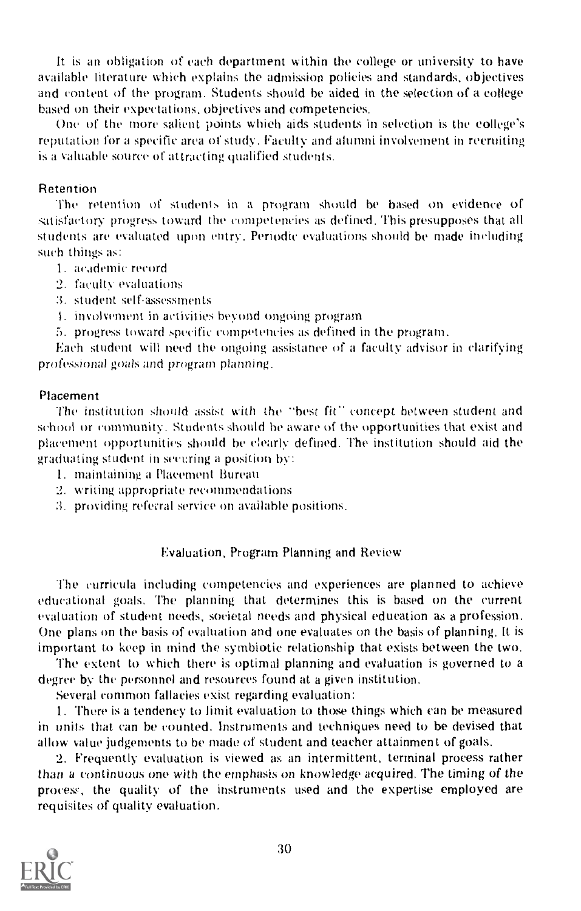It is an obligation of each department within the college or university to have available literature which explains the admission policies and standards, objectives and content of the program. Students should be aided in the selection of a college based on their expectations, objectives and competencies.

One of the more salient points which aids students in selection is the college's reputation for a specific area of study. faculty and alumni involvement in recruiting is a valuable source of attracting qualified students.

#### Retention

the retention of students in a program should he based on evidence of satisfactory progress toward the competencies as defined. This presupposes that all students are evaluated upon entry. Periodic evaluations should be made including such things as:

- I. academic record
- 2. faculty evaluations
- 3. student self-assessments
- 1. involvement in activities beyond ongoing program
- 5. progress toward specific competencies as defined in the program.

Each student will need the ongoing assistance of a faculty advisor in clarifying professional goals and program planning.

#### Placement

The institution should assist with the "best fit" concept between student and school or community. Students should he aware of the opportunities that exist and placement opportunities should he clearly defined. The institution should aid the graduating student in securing a position by:

- I. maintaining a Placement Bureau
- 2. writing appropriate recommendations
- 3. providing refemil service on available positions.

#### Evaluation, Program Planning and Review

The curricula including competencies and experiences are planned to achieve educational goals. The planning that determines this is based on the current evaluation of student needs, societal needs and physical education as a profession. One plans on the basis of evaluation and one evaluates on the basis of planning. It is important to keep in mind the symbiotic relationship that exists between the two.

The extent to which there is optimal planning and evaluation is governed to a degree by the personnel and resources found at a given institution.

Several common fallacies exist regarding evaluation:

1. There is a tendency to limit evaluation to those things which can he measured in units that can he counted. Instruments and techniques need to be devised that allow value judgements to be made of student and teacher attainment of goals.

2. Frequently evaluation is viewed as an intermittent, terminal process rather than a continuous one with the emphasis on knowledge acquired. The timing of the process, the quality of the instruments used and the expertise employed are requisites of quality evaluation.

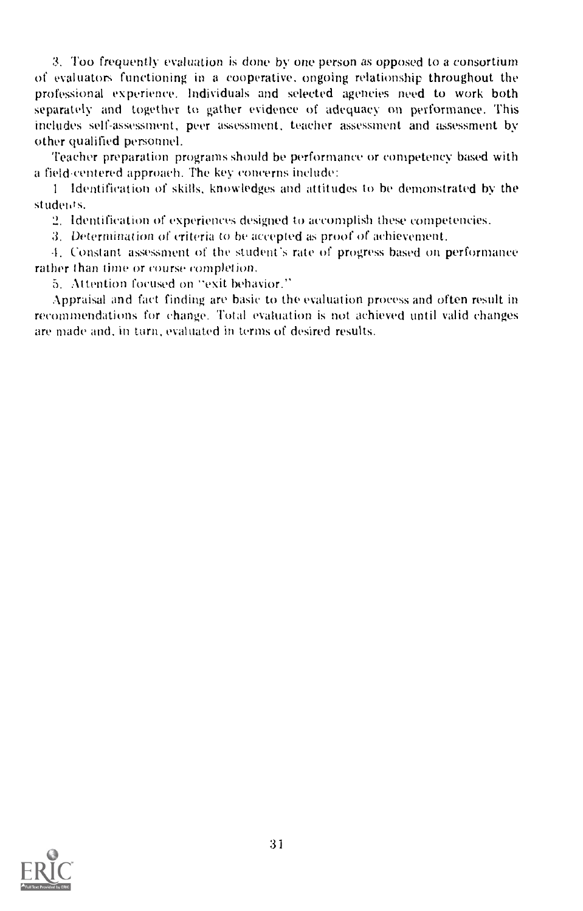3. Too frequently evaluation is done by one person as opposed to a consortium of evaluators functioning in a cooperative, ongoing relationship throughout the professional experience. Individuals and selected agencies need to work both separately and together to gather evidence of adequacy on performance. This includes self-assessment, peer assessment, teacher assessment and assessment by other qualified personnel.

'leacher preparation programs should be performance or competency based with a field-centered approach. The key ccmcerns include:

<sup>1</sup> Identification of skills, knowledges and attitudes to he demonstrated by the students.

2. Identification of experiences designed to accomplish these competencies.

3. Determination of criteria to be accepted as proof of achievement.

.1. Constant assessment of the student's rate of progress based on performance rather than time or course completion.

5. Attention focused on "exit behavior."

Appraisal and fact finding are basic to the evaluation process and often result in recommendations for change. Total evaluation is not achieved until valid changes are made and, in turn, evaluated in terms of desired results.

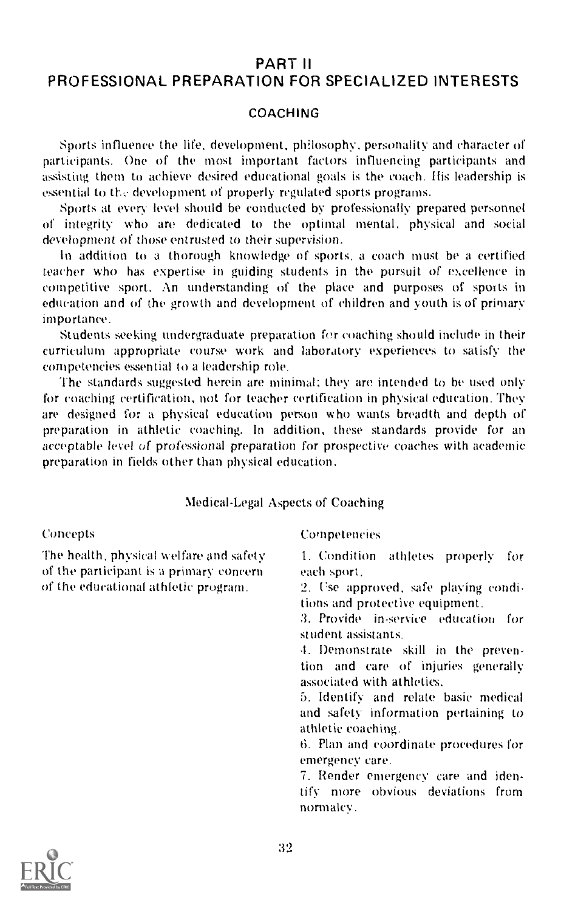# PART II

# PROFESSIONAL PREPARATION FOR SPECIALIZED INTERESTS

# COACHING

Sports influence the life, development, philosophy, personality and character of participants. One of the most important factors influencing participants and assisting them to achieve desired educational goals is the coach. His leadership is essential to the development of properly regulated sports programs.

Sports at every level should be conducted by professionally prepared personnel of integrity who are dedicated to the optimal mental, physical and social development of those entrusted to their supervision.

In addition to a thorough knowledge of sports, a coach must be a certified teacher who has expertise in guiding students in the pursuit of excellence in competitive sport. An understanding of the place and purposes of sports in education and of the growth and development of children and youth is of primary importance.

Students seeking undergraduate preparation for coaching should include in their curriculum appropriate course work and laboratory experiences to satisfy the competencies essential to a leadership role.

The standards suggested herein are minimal: they are intended to be used only for coaching certification, not for teacher certification in physical education. They are designed for a physical education person who wants breadth and depth of preparation in athletic coaching. In addition, these standards provide for an acceptable level of professional preparation for prospective coaches with academic preparation in fields other than physical education.

# Medical -Legal Aspects of Coaching

#### Concepts

The health, physical welfare and safety of the participant is a primary concern of the educational athletic program.

#### Competencies

1. Condition athletes properly for each sport,

2. Cse approved, safe playing conditions and protective equipment.

3. Provide in-service education for student assistants.

. Demonstrate skill in the prevention and care of injuries generally associated with athletics.

5. Identify and relate basic medical and safety information pertaining to athletic coaching.

6. Plan and coordinate procedures for emergency care.

7. Render emergency care and identify more obvious deviations from normalcy.

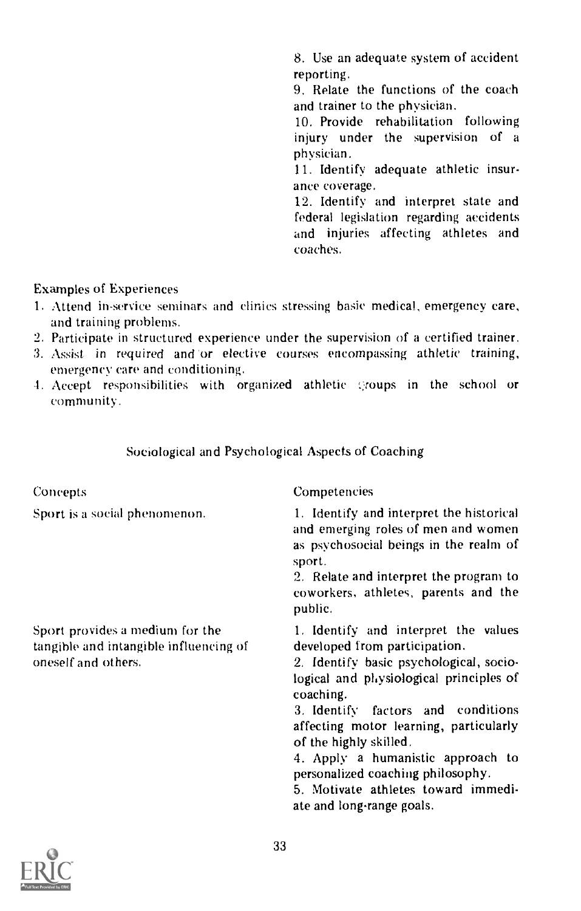8. Use an adequate system of accident reporting.

9. Relate the functions of the coach and trainer to the physician.

10. Provide rehabilitation following injury under the supervision of a physician.

11. Identify adequate athletic insurance coverage.

12. Identify and interpret state and federal legislation regarding accidents and injuries affecting athletes and coaches.

Examples of Experiences

- 1. Attend in-service seminars and clinics stressing basic medical, emergency care, and training problems.
- 2. Participate in structured experience under the supervision of a certified trainer.
- 3. Assist in required and 'or elective courses encompassing athletic training, emergency care and conditioning.
- -I. Accept responsibilities with organized athletic :;coups in the school or community.

# Sociological and Psychological Aspects of Coaching

| Concepts                                                                                         | Competencies                                                                                                                                                                                                                                                                                                                                                                                                                     |  |
|--------------------------------------------------------------------------------------------------|----------------------------------------------------------------------------------------------------------------------------------------------------------------------------------------------------------------------------------------------------------------------------------------------------------------------------------------------------------------------------------------------------------------------------------|--|
| Sport is a social phenomenon.                                                                    | 1. Identify and interpret the historical<br>and emerging roles of men and women<br>as psychosocial beings in the realm of<br>sport.<br>2. Relate and interpret the program to<br>coworkers, athletes, parents and the<br>public.                                                                                                                                                                                                 |  |
| Sport provides a medium for the<br>tangible and intangible influencing of<br>oneself and others. | 1. Identify and interpret the values<br>developed from participation.<br>2. Identify basic psychological, socio-<br>logical and physiological principles of<br>coaching.<br>3. Identify factors and conditions<br>affecting motor learning, particularly<br>of the highly skilled.<br>4. Apply a humanistic approach to<br>personalized coaching philosophy.<br>5. Motivate athletes toward immedi-<br>ate and long-range goals. |  |

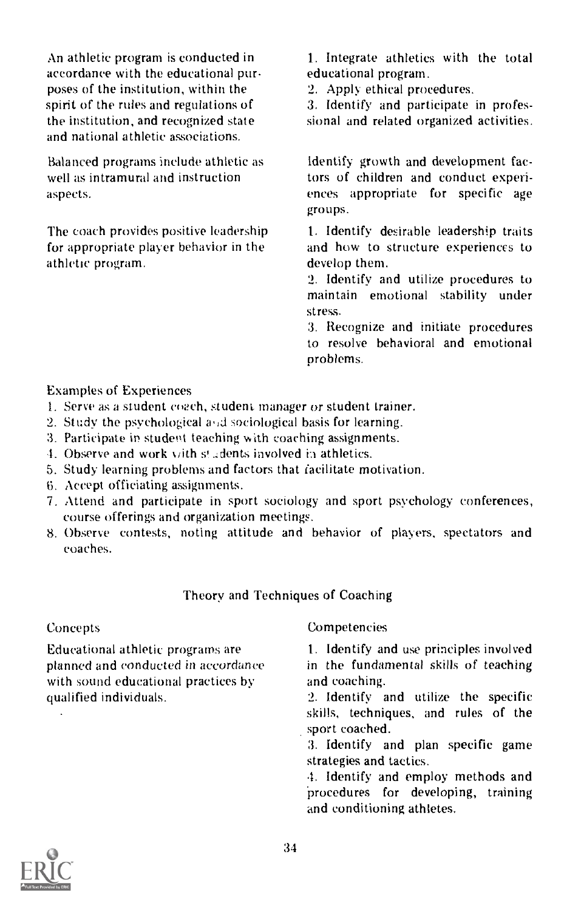An athletic program is conducted in accordance with the educational purposes of the institution, within the spirit of the rules and regulations of the institution, and recognized state and national athletic associations.

Balanced programs include athletic as well as intramural and instruction aspects.

The coach provides positive leadership for appropriate player behavior in the athletic program.

1. Integrate athletics with the total educational program.

2. Apply ethical procedures.

3. Identify and participate in professional and related organized activities.

Identify growth and development factors of children and conduct experi ences appropriate for specific age groups.

1. Identify desirable leadership traits and how to structure experiences to develop them.

2. Identify and utilize procedures to maintain emotional stability under stress.

3. Recognize and initiate procedures to resolve behavioral and emotional problems.

# Examples of Experiences

- 1. Serve as a student coach, student manager or student trainer.
- 2. Study the psychological and sociological basis for learning.
- 3. Participate in student teaching with coaching assignments.
- 4. Observe and work with s! adents involved in athletics.
- 5. Study learning problems and factors that facilitate motivation.
- b. Accept officiating assignments.
- 7. Attend and participate in sport sociology and sport psychology conferences, course offerings and organization meetings.
- 8. Observe contests, noting attitude and behavior of players, spectators and coaches.

# Theory and Techniques of Coaching

# Concepts

Educational athletic programs are planned and conducted in accordance with sound educational practices by qualified individuals.

# Competencies

1. Identify and use principles involved in the fundamental skills of teaching and coaching.

2. Identify and utilize the specific skills, techniques, and rules of the sport coached.

3. Identify and plan specific game strategies and tactics.

4. Identify and employ methods and procedures for developing, training and conditioning athletes.

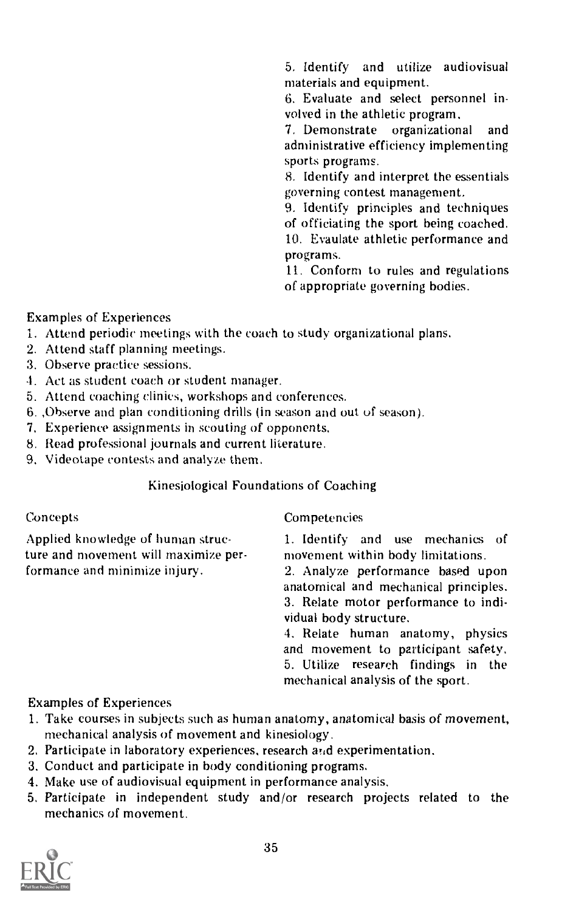5. Identify and utilize audiovisual materials and equipment.

6. Evaluate and select personnel involved in the athletic program.<br>7. Demonstrate organization

organizational and administrative efficiency implementing sports programs.

8, Identify and interpret the essentials governing contest management.

9. Identify principles and techniques of officiating the sport being coached. 10. Evaulate athletic performance and programs.

11. Conform to rules and regulations of appropriate governing bodies.

Examples of Experiences

- 1. Attend periodic meetings with the coach to study organizational plans.
- 2. Attend staff planning meetings.
- 3. Observe practice sessions.
- 4. Act as student coach or student manager.
- 5. Attend coaching clinics, workshops and conferences.
- 6. ,Observe and plan conditioning drills (in season and out of season).
- 7. Experience assignments in scouting of opponents.
- 8. Read professional journals and current literature.
- 9. Videotape contests and analyze them.

# Kinesiological Foundations of Coaching

Concepts

**Competencies** 

Applied knowledge of human structure and movement will maximize performance and minimize injury.

1. Identify and use mechanics of movement within body limitations.

2. Analyze performance based upon anatomical and mechanical principles. 3. Relate motor performance to individual body structure.

4. Relate human anatomy, physics and movement to participant safety. 5. Utilize research findings in the mechanical analysis of the sport.

Examples of Experiences

- 1. Take courses in subjects such as human anatomy, anatomical basis of movement, mechanical analysis of movement and kinesiology.
- 2. Participate in laboratory experiences, research  $\overline{a_{1d}}$  experimentation.
- 3. Conduct and participate in body conditioning programs.
- 4. Make use of audiovisual equipment in performance analysis.
- 5. Participate in independent study and/or research projects related to the mechanics of movement.

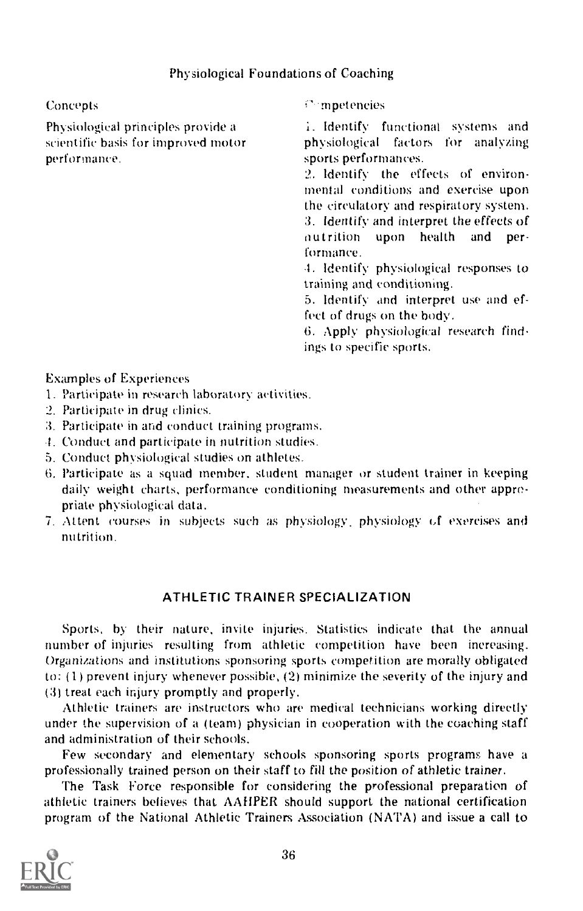# Physiological Foundations of Coaching

# Concepts

Physiological principles provide a scientific basis for improved motor performance.

mpetencies

. Identify functional systems and physiological factors for analyzing sports performances.

2. Identify the effects of environmental conditions and exercise upon the circulatory and respiratory system. 3. Identify and interpret the effects of nutrition upon health and performance.

1. Identify physiological responses to training and conditioning.

5. Identify and interpret use and effect of drugs on the body.

6. Apply physiological research findings to specific sports.

# Examples of Experiences

- 1. Participate in research laboratory activities.
- 2. Participate in drug clinics.
- 3. Participate in and conduct training programs.
- 1. Conduct and participate in nutrition studies.
- 5. Conduct physiological studies on athletes.
- 6. Participate as a squad member, student manager or student trainer in keeping daily weight charts, performance conditioning measurements and other appropriate physiological data.
- 7. Attent courses in subjects such as physiology. physiology of exercises and nutrition.

# ATHLETIC TRAINER SPECIALIZATION

Sports, by their nature, invite injuries. Statistics indicate that the annual number of injuries resulting from athletic competition have been increasing. Organizations and institutions sponsoring sports competition are morally obligated to:  $(1)$  prevent injury whenever possible,  $(2)$  minimize the severity of the injury and (3) treat each injury promptly and properly.

Athletic trainers are instructors who are medical technicians working directly under the supervision of a (team) physician in cooperation with the coaching staff and administration of their schools.

Few secondary and elementary schools sponsoring sports programs have a professionally trained person on their staff to fill the position of athletic trainer.

The Task Force responsible for considering the professional preparation of athletic trainers believes that AAHPER should support the national certification program of the National Athletic Trainers Association (NATA) and issue a call to

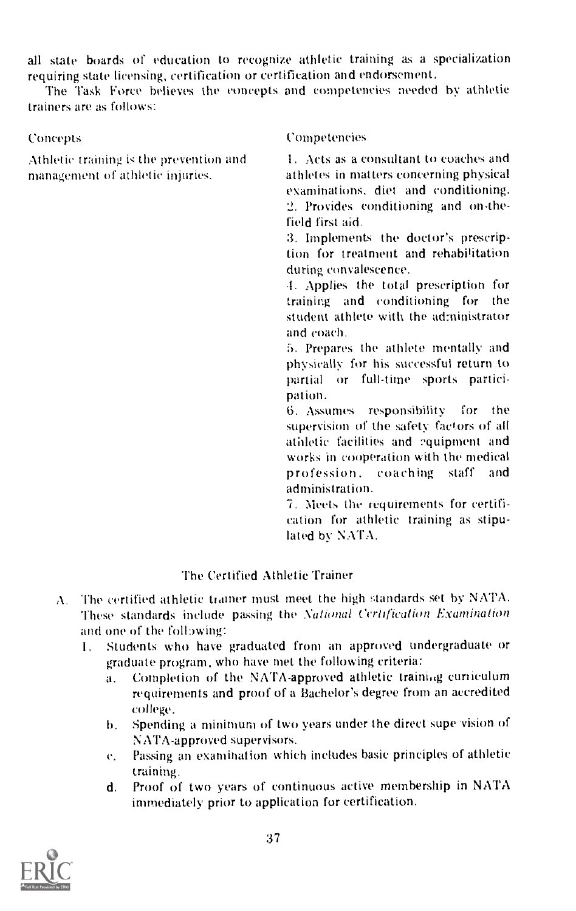all state boards of education to recognize athletic training as a specialization requiring state licensing, certification or certification and endorsement.

The Task Force believes the concepts and competencies needed by athletic trainers are as follows:

Athletic training is the prevention and management of athletic injuries.

# Concepts Competencies

1. Acts as a consultant to coaches and athletes in matters concerning physical examinations, diet and conditioning. 2. Provides conditioning and on-thefield first aid.

3. Implements the doctor's prescription for treatment and rehabilitation during convalescence.

.1. Applies the total prescription for training and conditioning for the student athlete with the administrator and coach.

5. Prepares the athlete mentally and physically for his successful return to partial or full-time sports participation.

Assumes responsibility for the supervision of the safety factors of all athletic facilities and equipment and works in cooperation with the medical<br>profession, coaching staff and profession, coaching staff administration.

7. Meets the requirements for certification for athletic training as stipulated by NATA.

# The Certified Athletic Trainer

- A. The certified athletic trainer must meet the high standards set by NATA. These standards include passing the National Certification Examination and one of the following:
	- 1. Students who have graduated from an approved undergraduate or graduate program, who have met the following criteria:
		- a. Completion of the NATA-approved athletic training curriculum requirements and proof of a Bachelor's degree from an accredited college.
		- b. Spending a minimum of two years under the direct supe vision of NATA-approved supervisors.
		- e. Passing an examination which includes basic principles of athletic training.
		- d. Proof of two years of continuous active membership in NATA immediately prior to application for certification.

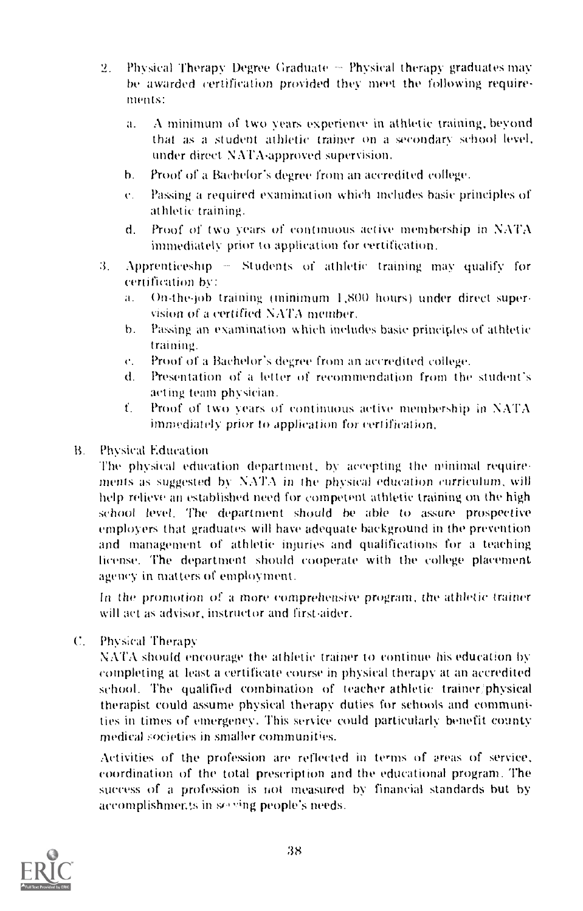- 2. Physical Therapy Degree Graduate  $\sim$  Physical therapy graduates may be awarded certification provided they meet the following requirements:
	- a. A minimum of two years experience in athletic training, beyond that as a student athletic trainer on a secondary school level, under direct. NATA-approved supervision.
	- b. Proof of a Bachelor's degree from an accredited college.
	- r. Passing a required examination which includes basic principles of athletic training.
	- d. Proof of two years of continuous active membership in NATA immediately. prior to application for certification.
- $3.$  Apprenticeship  $-$  Students of athletic training may qualify for certification by
	- a. On-the-job training (minimum 1,800 hours) under direct supervision of a certified NATA member.
	- h. Passing an examination which includes basic principles of athletic training.
	- r. Proof of a Bachelor's degree from an accredited college.
	- d. Presentation of a letter of recommendation from the student's acting team physician.
	- f. Proof of two years of continuous active membership in  $NATA$ immediately prior to application for certification.
- B. Physical Education

The physical education department, by accepting the minimal requirements as suggested by NATA in the physical education curriculum, will help relieve an established need for competent athletic training on the high school level. The department should he able to assure prospective employers that graduates will have adequate background in the prevention and management of athletic injuries and qualifications for a teaching license. The department should cooperate with the college placement agency in matters of employment.

In the promotion of a more comprehensive program, the athletic trainer will act as advisor, instructor and first-aider.

C. Physical Therapy

NATA should encourage the athletic trainer to continue his education by completing at least a certificate course in physical therapy at an accredited school. The qualified combination of teacher athletic trainer/physical therapist could assume physical therapy duties for schools and communities in times of emergency. This service could particularly benefit county medical societies in smaller communities.

Activities of the profession are reflected in terms of areas of service. coordination of the total prescription and the educational program. The success of a profession is not measured by financial standards but by accomplishments in so ving people's needs.

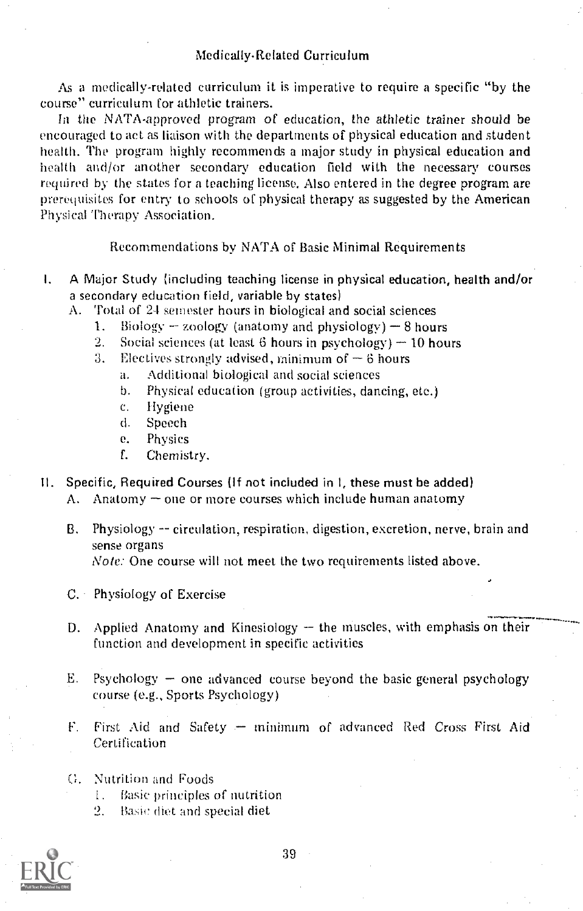As a medically-related curriculum it is imperative to require a specific "by the course" curriculum for athletic trainers.

In the NATA-approved program of education, the athletic trainer should be encouraged to act as liaison with the departments of physical education and student health. The program highly recommends a major study in physical education and health and/or another secondary education field with the necessary courses required by the states for a teaching license. Also entered in the degree program are prerequisites for entry to schools of physical therapy as suggested by the American Physical Therapy Association.

Recommendations by NATA of Basic Minimal Requirements

- I. A Major Study (including teaching license in physical education, health and/or a secondary education field, variable by states)
	- A. Total of 24 semester hours in biological and social sciences
		- 1. Biology  $-$  zoology (anatomy and physiology)  $-$  8 hours
		- 2. Social sciences (at least 6 hours in psychology)  $-10$  hours
		- 3. Electives strongly advised, minimum of  $\sim$  6 hours
			- a. Additional biological and social sciences
				- b. Physical education (group activities, dancing, etc.)
				- c. Hygiene
				- d. Speech
				- e. Physics
				- f. Chemistry.
- II. Specific, Required Courses (If not included in I, these must be added)
	- A. Anatomy  $\sim$  one or more courses which include human anatomy
	- B. Physiology -- circulation, respiration, digestion, excretion, nerve, brain and sense organs Note: One course will not meet the two requirements listed above.
	- C. Physiology of Exercise
	- D. Applied Anatomy and Kinesiology  $-$  the muscles, with emphasis on their function and development in specific activities
	- E. Psychology  $-$  one advanced course beyond the basic general psychology course (e.g., Sports Psychology)
	- $F_{\perp}$ First Aid and Safety - minimum of advanced Red Cross First Aid Certification
	- G. Nutrition and Foods
		- t. Basic principles of nutrition
		- 2. Basic diet and special diet

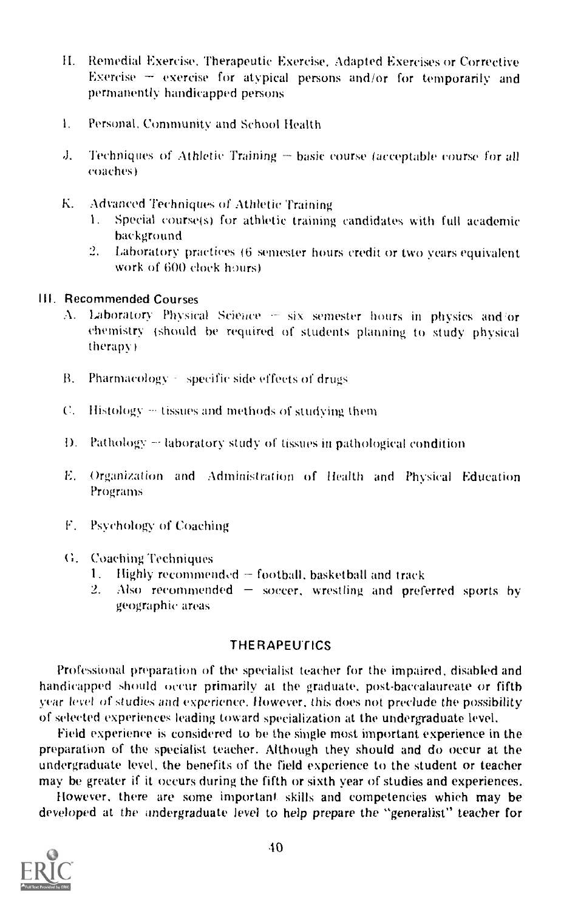- II. Remedial Exercise, Therapeutic Exercise, Adapted Exercises or Corrective Exercise  $\pm$  exercise for atypical persons and/or for temporarily and permanently handicapped persons
- 1. Personal. Community and School Health
- $J.$  Techniques of Athletic Training  $-$  basic course (acceptable course for all coaches)
- K. Advanced Techniques of Athletic Training
	- 1. Special course(s) for athletic training candidates with full academic background
	- 2. Laboratory practices 16 semester hours credit or two years equivalent work of 600 clock hours)

# III. Recommended Courses

- A. Laboratory Physical Science six semester hours in physics and or chemistry (should be required of students planning to study physical therapy )
- B. Pharmacology specific side effects of drugs
- $C<sub>1</sub>$  Histology  $\sim$  tissues and methods of studying them
- D. Pathology  $\sim$  laboratory study of tissues in pathological condition
- E. Organization and Administration of Health and Physical Education Programs
- F. Psychology of Coaching
- G. Coaching Techniques
	- 1. Highly recommended  $=$  football, basketball and track 2. Also recommended  $=$  soccer. wrestling and prefi-
	- Also recommended  $-$  soccer, wrestling and preferred sports by geographic areas

# **THE RAPEUTICS**

Professional preparation of the specialist teacher for the impaired, disabled and handicapped should occur primarily at the graduate, post-baccalaureate or fifth year level of studies and experience. However, this does not preclude the possibility of selected experiences leading toward specialization at the undergraduate level,

Field experience is considered to he the single most important experience in the preparation of the specialist teacher. Although they should and do occur at the undergraduate level, the benefits of the field experience to the student or teacher may be greater if it occurs during the fifth or sixth year of studies and experiences.

However, there are some important. skills and competencies which may be developed at the undergraduate level to help prepare the "generalist" teacher for

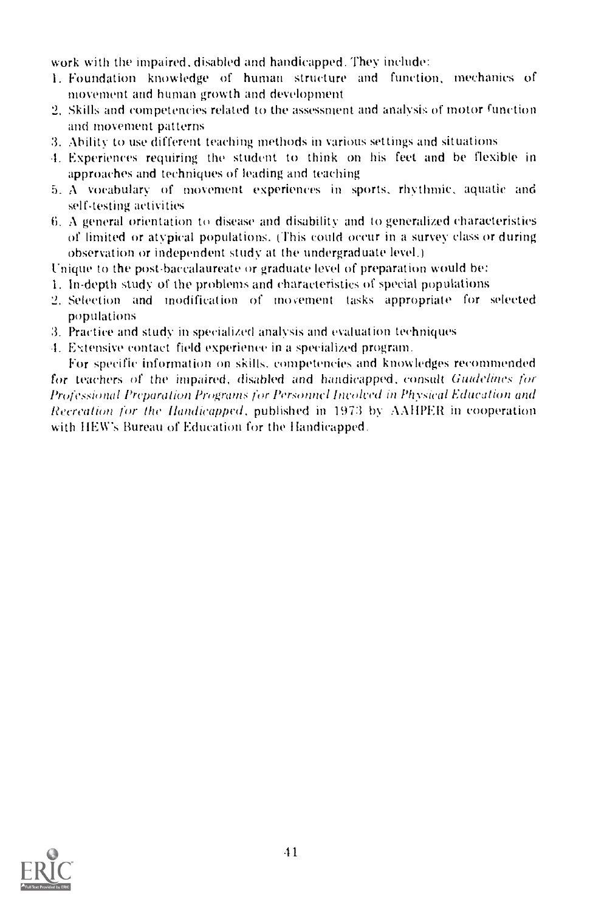work with the impaired, disabled and handicapped. They include:

- 1. Foundation knowledge of human structure and function, mechanics of niovement and human growth and development
- 2. Skills and competencies related to the assessment and analysis of motor function and movement patterns
- 3. Ability to use different teaching methods in various settings and situations
- 1. Experiences requiring the student to think on his feet and he flexible in approaches and techniques of leading and teaching
- 5. A vocabulary of movement experiences in sports, rhythmic, aquatic and self-testing activities
- 6. A general orientation to disease and disability and to generalized characteristics of limited or atypical populations, This could occur in a survey class or during observation or independent study at the undergraduate level.)
- Unique to the post-baccalaureate or graduate level of preparation would he:
- 1. In -depth study of the problems and characteristics of special populations
- 2. Selection and modification of mocement tasks appropriate for selected populations
- 3. Practice and study in specialized analysis and evaluation techniques
- 4. Extensive contact field experience in a specialized program.

For specific information on skills, competencies and knowledges recommended for teachers of the impaired, disabled and handicapped, consult Guidelines for Professional Preparation Programs for Personnel Involved in Physical Education and Recreation for the Handicapped, published in 1973 by AAIIPER in cooperation with HEW's Bureau of Education for the Handicapped.

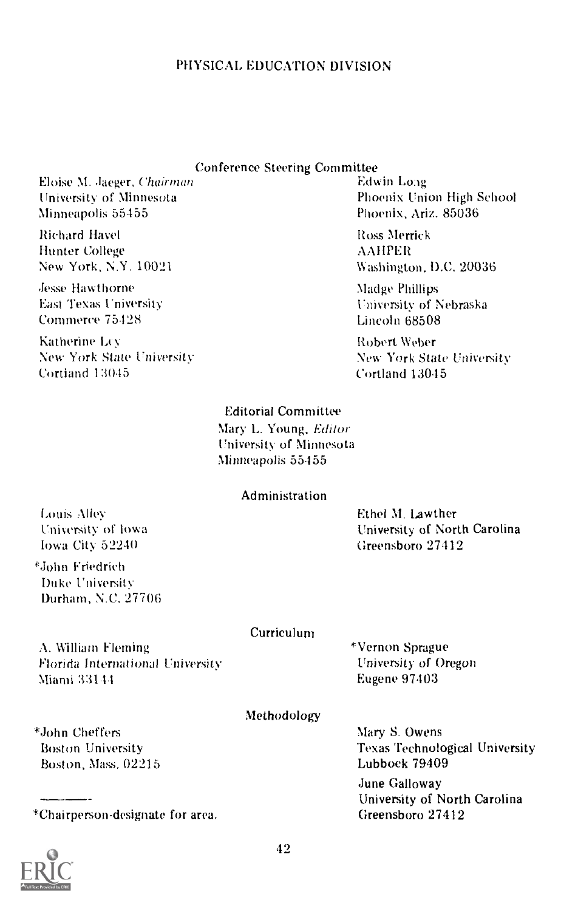# PHYSICAL EDUCATION DIVISION

# Conference Steering Committee

Eloise M. Jaeger, Chairman University of Minnesota Minneapolis 55455

Richard Havel Hunter College New York, N.Y. 10021

Jesse Hawthorne East Texas University. Commerce 75428

Katherine Lev New York State University Cortland 13045

# Edwin Long Phoenix Union High School Phoenix, Ariz. 85036

Ross Merrick AAIIPER Washington, D.C. 20036

Madge Phillips University of Nebraska Lincoln 68508

Robert Weber New York State University Cortland 13015

# Editorial Committee

Mary L. Young, Editor University of Minnesota Minneapolis 55455

# Administration

Louis Alley Uniyersity of Iowa Iowa City 52240

Ethel M. Lawther. University of North Carolina Greensboro 27412

'John Friedrich Duke University Durham, N.C. 27706

#### Curriculum

A. William Fleming Florida International University Miami 33111

\*Vernon Sprague University of Oregon Eugene 97403

# Methodology

Mary S. Owens Texas Technological University Lubbock 79409 June Galloway University of North Carolina Greensboro 27412

\*John Chef fers Boston University Boston, Mass. 02215

\*Chairperson-designate for area.

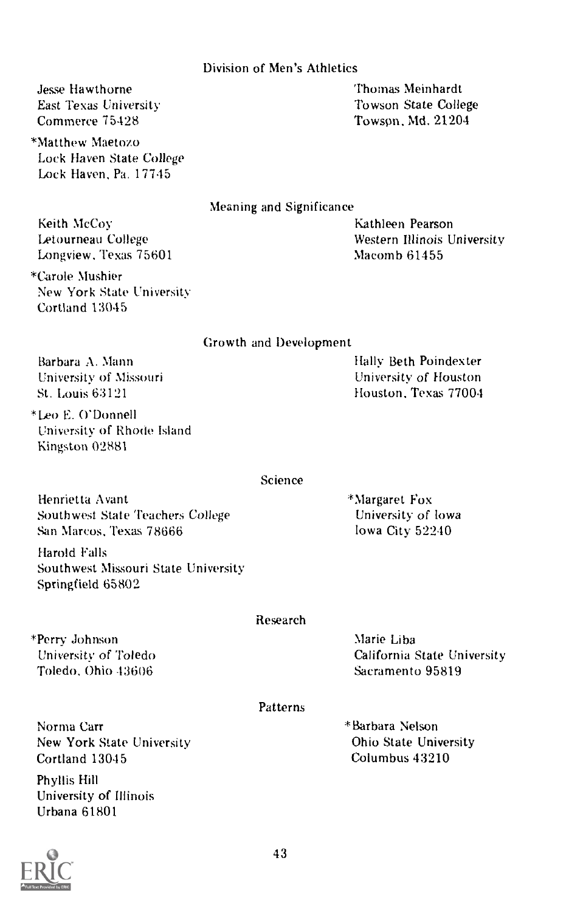# Division of Men's Athletics

Jesse Hawthorne East Texas University Commerce 75128

\*Matthew Maetozo Lock Haven State College Lock Haven, Pa. 17745

Thomas Meinhardt Towson State College Towson, Md. 21204

Meaning and Significance

Keith McCoy Letourneau College Longview, Texas 75601 Kathleen Pearson Western Illinois University Macomb 61455

Hally Beth Poindexter University of Houston Houston, Texas 77004

\*Carole Mushier New York State University Cortland 13045

Growth and Development

Barbara A. Mann University of Missouri St. Louis 63121

\*Leo E. O'Donnell University of Rhode Island Kingston 02881

Science

Henrietta Avant Southwest State Teachers College San Marcos, Texas 78666

Harold Falls Southwest Missouri State University Springfield 65802

#### Research

\*Perry Johnson University of Toledo Toledo, Ohio 43606

California State University Sacramento 95819

# Patterns

Norma Carr New York State University Cortland 13015

Phyllis Hill University of Illinois Urbana 61801



\*Margaret Fox University of Iowa Iowa City 52240

Marie Liba

\*Barbara Nelson Ohio State University Columbus 43210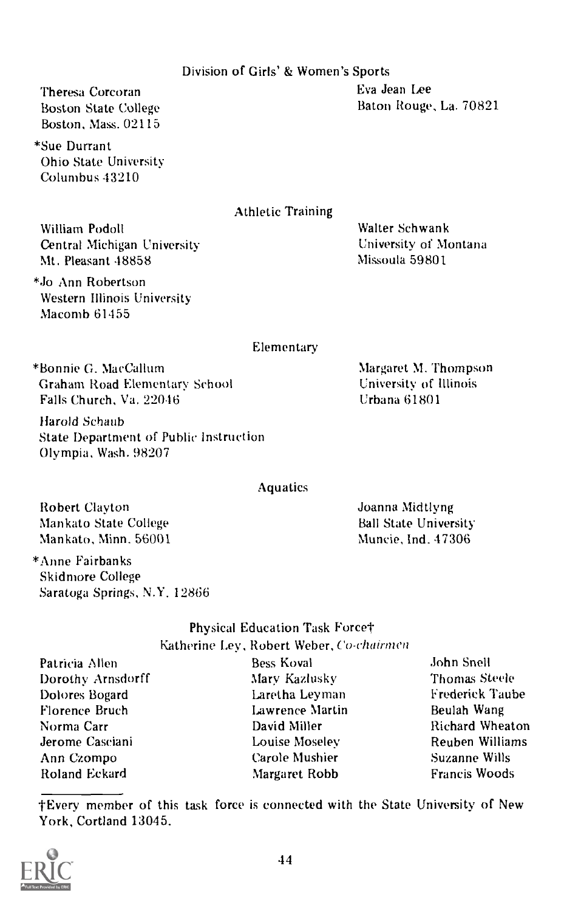# Division of Girls' & Women's Sports

Theresa Corcoran Boston State College Boston, Mass. 02115

\*Sue Durrant Ohio State University Columbus 43210

# Athletic Training

William Podoll Central Michigan University Mt. Pleasant 48858

\*J0 Ann Robertson Western Illinois University Macomb 61455

University of Montana Missoula 59801

Walter Schwank

Elementary

\*Bonnie G. Mac Callum Graham Road Elementary School Falls Church, Va. 22046

Harold Schaub State Department of Public Instruction Olympia, Wash. 98207

# **Aquatics**

Robert Clayton Mankato State College Mankato, Minn. 56001

\*Anne Fairbanks Skidmore College Saratoga Springs, N.Y. 12866

# Physical Education Task Force† Katherine Ley, Robert Weber, Co-chairmen Bess Koval

Patricia Allen Dorothy Arnsdorff Dolores Bogard Florence Bruch Norma Carr Jerome Casciani Ann Czompo Roland Eckard

Mary Kazlusky Laretha Leyman Lawrence Martin David Miller Louise Moseley Carole Mushier Margaret Robb

John Snell Thomas Steele Frederick Taube Beulah Wang Richard Wheaton Reuben Williams Suzanne Wills Francis Woods

-Every member of this task force is connected with the State University of New York, Cortland 13045.



Margaret M. Thompson University of Illinois Urbana 61801

Joanna Nlidtlyng Ball State University Muncie, Ind. 47306

Eva Jean Lee Baton Rouge, La. 70821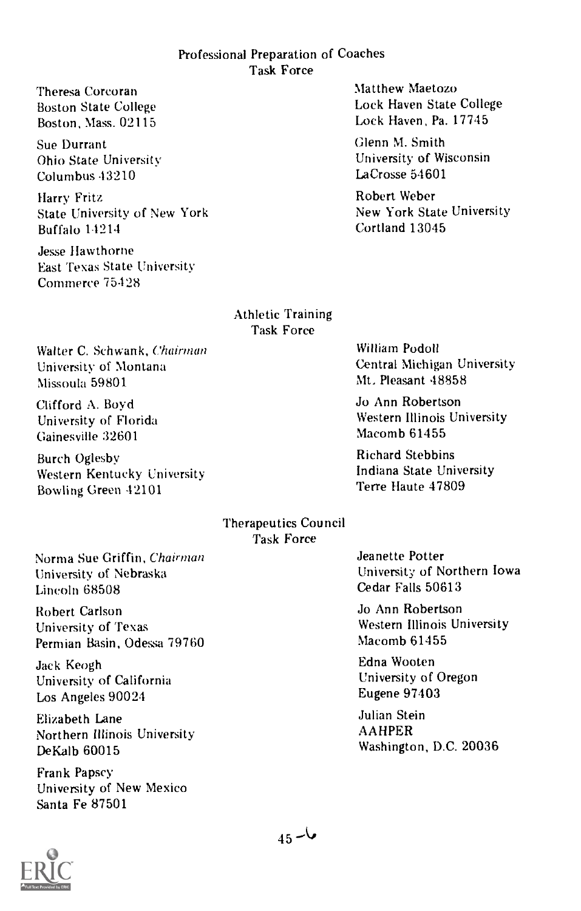# Professional Preparation of Coaches Task Force

Theresa Corcoran Boston State College Boston, Mass. 02115

Sue Durrant Ohio State University Columbus 43210

Harry Fritz State University of New York Buffalo 14214

Jesse Hawthorne East Texas State University Commerce 75428

Matthew Maetozo Lock Haven State College Lock Haven, Pa. 17745

Glenn M. Smith University of Wisconsin LaCrosse 54601

Robert Weber New York State University Cortland 13045

Athletic Training Task Force

Walter C. Schwank, Chairman University of Montana Missoula 59801

Clifford A. Boyd University of Florida Gainesville 32601

Burch Oglesby Western Kentucky University Bowling Green 42101

William Podoll Central Michigan University Mt. Pleasant 48858

Jo Ann Robertson Western Illinois University Macomb 61455

Richard Stebbins Indiana State University Terre Haute 47809

# Therapeutics Council Task Force

Norma Sue Griffin, Chairman University of Nebraska Lincoln 68508

Robert Carlson University of Texas Permian Basin, Odessa 79760

Jack Keogh University of California Los Angeles 90024

Elizabeth Lane Northern Illinois University De Kalb 60015

Frank Papscy University of New Mexico Santa Fe 87501

Jeanette Potter University of Northern Iowa Cedar Falls 50613

Jo Ann Robertson Western Illinois University Macomb 61455

Edna Wooten University of Oregon Eugene 97403

Julian Stein AAHPER Washington, D.C. 20036

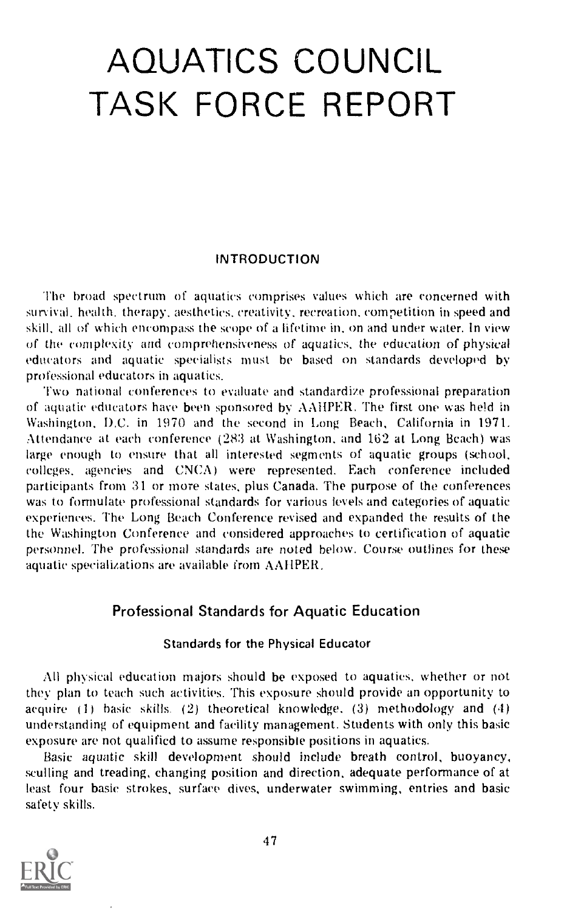# AQUATICS COUNCIL TASK FORCE REPORT

#### INTRODUCTION

The broad spectrum of aquatics comprises values which are concerned with survival. health, therapy, aesthetics, creativity, recreation, competition in speed and skill, all of which encompass the scope of a lifetime in, on and under water. In view of the complexity and comprehensiveness of aquatics, the education of physical educators and aquatic specialists must he based on standards developed by professional educators in aquatics.

Two national conferences to evaluate and standardize professional preparation of aquatic educators have been sponsored by AAiIPER. The first one was held in Washington, D.C. in 1970 and the second in Long Beach, California in 1971. Attendance at each conference (283 at Washington, and 162 at Long Beach) was large enough to ensure that all interested segments of aquatic groups (school, colleges, agencies and CNCA) were represented. Each conference included participants from 31 or more states, plus Canada. The purpose of the conferences was to formulate professional standards for various levels and categories of aquatic experiences. The Long Beach Conference revised and expanded the results of the the Washington Conference and considered approaches to certification of aquatic personnel. The professional standards are noted below. Course outlines for these aquatic specializations are available from AAIIPER.

# Professional Standards for Aquatic Education

#### Standards for the Physical Educator

All physical education majors should be exposed to aquaties, whether or not they plan to teach such activities. This exposure should provide an opportunity to acquire (1) basic skills. (2) theoretical knowledge, (3) methodology and (4) understanding of equipment and facility management. Students with only this basic exposure are not qualified to assume responsible positions in aquatics.

Basic aquatic skill development should include breath control, buoyancy, sculling and treading, changing position and direction, adequate performance of at least four basic strokes, surface dives, underwater swimming, entries and basic safety skills.

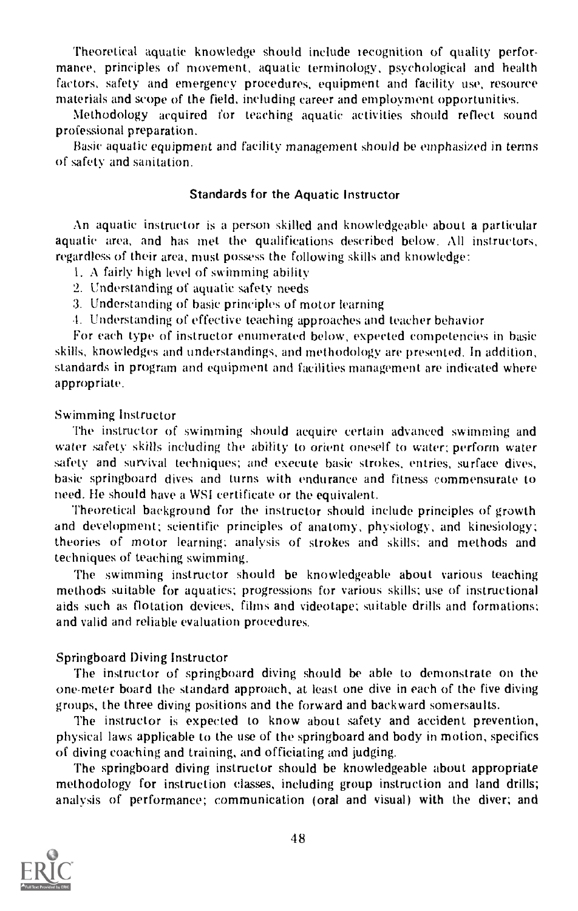Theoretical aquatic knowledge should include recognition of quality performance, principles of movement, aquatic terminology, psychological and health factors, safety and emergency procedures, equipment and facility use, resource materials and scope of the field, including career and employment opportunities.

Methodology acquired for teaching aquatic activities should reflect sound professional preparation.

Basic aquatic equipment and facility management should be emphasized in terms of safety and sanitation.

#### Standards for the Aquatic Instructor

An aquatic instructor is a person skilled and knowledgeable about a particular aquatic area, and has met the qualifications described below. All instructors, regardless of their area, must possess the following skills and knowledge:

- 1. A fairly high level of swimming ability
- 2. Understanding of aquatic safety needs
- 3. Understanding of basic principles of motor learning
- 4. Understanding of effective teaching approaches and teacher behavior

For each type of instructor enumerated below, expected competencies in basic skills, knowledges and understandings, and methodology are presented. In addition, standards in program and equipment and facilities management are indicated where appropriate.

#### Swimming Instructor

The instructor of swimming should acquire certain advanced swimming and water safety skills including the ability to orient oneself to water; perform water safety and survival techniques; and execute basic strokes, entries, surface dives, basic springboard dives and turns with endurance and fitness commensurate to need. He should have a WSI certificate or the equivalent.

Theoretical background for the instructor should include principles of growth and development; scientific principles of anatomy, physiology, and kinesiology; theories of motor learning: analysis of strokes and skills: and methods and techniques of teaching swimming.

The swimming instructor should be knowledgeable about various teaching methods suitable for aquatics; progressions for various skills; use of instructional aids such as flotation devices, films and videotape; suitable drills and formations: and valid and reliable evaluation procedures.

#### Springboard Diving Instructor

The instructor of springboard diving should be able to demonstrate on the one-meter board the standard approach, at least one dive in each of the five diving groups, the three diving positions and the forward and backward somersaults.

The instructor is expected to know about safety and accident prevention, physical laws applicable to the use of the springboard and body in motion, specifics of diving coaching and training, and officiating and judging.

The springboard diving instructor should be knowledgeable about appropriate methodology for instruction classes, including group instruction and land drills; analysis of performance; communication (oral and visual) with the diver; and

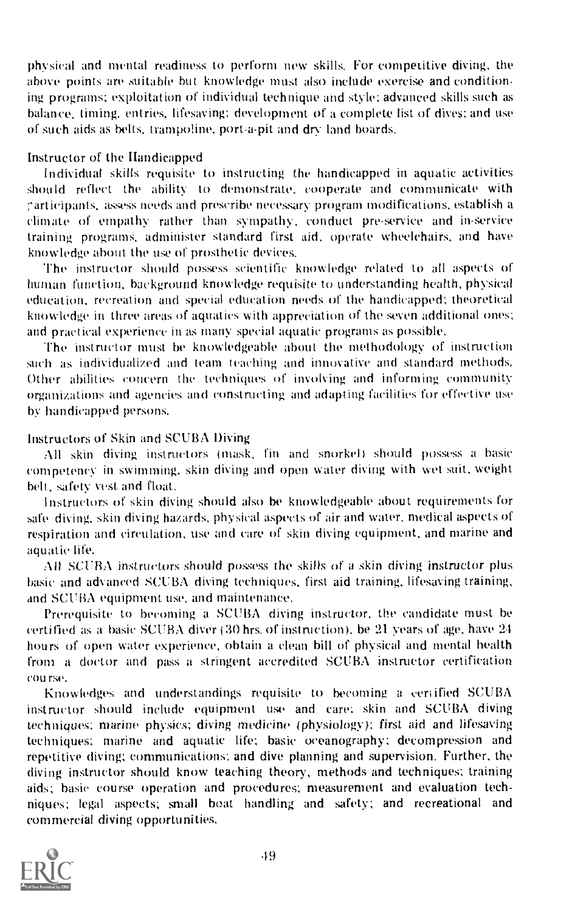physical and mental readiness to perform new skills. For competitive diving, the above points are suitable but knowledge must also include exercise and condition. ing programs; exploitation of individual technique and style; advanced skills such as balance, timing, entries, lifesaving; development of a complete list of dives; and use of such aids as belts. trampoline, port-a-pit and dry land boards.

#### Instructor of the Handicapped

Individual skills requisite to instructing the handicapped in aquatic activities should reflect the ability to demonstrate, cooperate and communicate with ;'articipants, assess needs and prescribe necessary program modifications, establish a climate of empathy rather than sympathy, conduct pre-service and in-service training programs, administer standard first aid, operate wheelchairs, and have knowledge about the use of prosthetic devices.

The instructor should possess scientific knowledge related to all aspects of human function, background knowledge requisite to understanding health, physical education, recreation and special education needs of the handicapped; theoretical knowledge in three areas of aquatics with appreciation of the seven additional ones; and practical experience in as many special aquatic programs as possible.

The instructor must be knowledgeable about the methodology of instruction such as individualized and team teaching and innovative and standard methods. Other abilities concern the techniques of involving and informing community organizations and agencies and constructing and adapting facilities for effective use by handicapped persons.

#### Instructors of Skin and SCUBA Diving

All skin diving instructors (mask, fin and snorkel) should possess a basic competency in swimming, skin diving and open water diving with wet suit, weight belt, safety vest and float.

Instructors of skin diving should also be knowledgeable about requirements for safe diving, skin diving hazards, physical aspects of air and water, medical aspects of respiration and circulation, use and care of skin diving equipment, and marine and aquatic life,

All SCUBA instructors should possess the skills of a skin diving instructor plus basic and advanced SCUBA diving techniques, first aid training, lifesaving training, and SCUBA equipment use, and maintenance.

Prerequisite to becoming a SCUBA diving instructor, the candidate must he certified as a basic SCUBA diver (30 hrs. of instruction), be 21 years of age, have 2.1 hours Of open water experience, obtain a clean hill of physical and mental health from a doctor and pass a stringent accredited SCUBA instructor certification coo rse.

Knowledges and understandings requisite to becoming a certified SCUBA instructor should include equipment use and care: skin and SCUBA diving techniques; marine physics; diving medicine (physiology); first aid and lifesaving techniques: marine and aquatic life; basic oceanography: decompression and repetitive diving; communications; and dive planning and supervision. Further, the diving instructor should know teaching theory, methods and techniques; training aids; basic course operation and procedures; measurement and evaluation techniques; legal aspects; small boat handling and safety; and recreational and commercial diving opportunities.

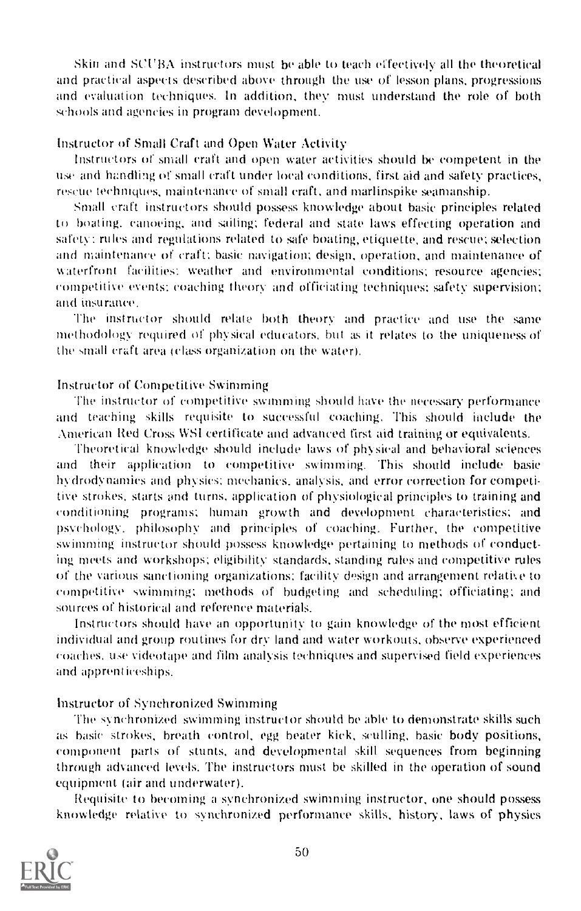Skin and SCUBA instructors must be able to teach effectively all the theoretical and practical aspects described above through the use of lesson plans, progressions and evaluation techniques. In addition, they must understand the role of both schools and agencies in program development.

#### instructor of Small Craft and Open Water Activity

Instructors of small craft and open water activities should be competent in the use and handling of small craft under local conditions, first aid and safety practices, rescue techniques, maintenance of small craft, and marlinspike seamanship.

Small craft instructors should possess knowledge about basic principles related to boating, canoeing, and sailing; federal and state laws effecting operation and safety; rules and regulations related to safe boating, etiquette, and rescue: selection and maintenance of craft: basic navigation: design, operation, and maintenance of waterfront facilities; weather and environmental conditions; resource agencies; competitive events: coaching theory and officiating techniques; safety supervision; and insurance.

The instructor should relate both theory and practice and use the same methodology required of physical educators, but as it relates to the uniqueness of the small craft area (class organization on the water).

#### Instructor of Competitive Swimming

The instructor of competitive swimming should have the necessary performance and teaching skills requisite to successful coaching. This should include the American Red Cross WSI certificate and advanced first aid training or equivalents.

Theoretical knowledge should include laws of physical and behavioral sciences and their application to competitive swimming, This should include basic hydrodynamics and physics; mechanics. analysis, and error correction for competitive strokes, starts and turns, application of physiological principles to training and conditioning programs; human growth and development characteristics; and psychology. philosophy and principles of coaching. Further, the competitive swimming instructor should possess knowledge pertaining to methods of conducting meets and workshops; eligibility standards, standing rules and competitive rules of the various sanctioning organizations: facility design and arrangement retake to competitive swimming: methods of budgeting and scheduling: officiating: and sources of historical and reference materials.

Instructors should have an opportunity to gain knowledge of the most efficient individual and group routines for dry land and water workouts. observe experienced coaches. use videotape and film analysis techniques and supervised field experiences and apprenticeships.

#### Instructor of Synchronized Swimming

The synchronized swimming instructor should he able to demonstrate skills such as basic strokes, breath control, egg heater kick, sculling, basic body positions, component parts of stunts, and developmental skill sequences from beginning through advanced levels. The instructors must be skilled in the operation of sound equipment (air and underwater).

Requisite to becoming a synchronized swimming instructor, one should possess knowledge relative to synchronized performance skills, history, laws of physics

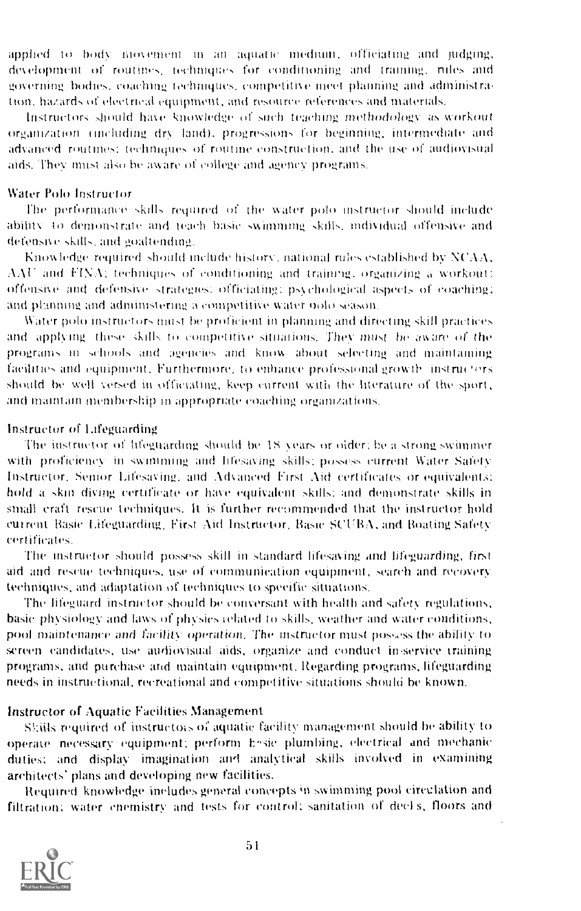implied to body movement in an aquatic medium, officiating and Judging, development of routines, techniques for conditioning and training, nules and governing bodies, coaching techniques, competitive meet planning and administraton, hazards of electrical equipment, and resource references and materials.

Instructors should have knowledge of such teaching inethodohigy as workout organization tincluding dry land). progressions for beginning, intermediate and advanced routines: techniques of routine construction, and the use of audiovisual aids. They must also be aware of college and agency programs.

#### Water Polo Instructor

The performance skills required of the water polo instructor should include ability to demonstrate and teach basic swimming skills, individual offensive and defensive skills, and goaltending.

Knowledge required should include history. national rules established by NCAA,  $AAC$  and  $FINA$ ; techniques of conditioning and training, organizing a workout: offensive and defensive strategies: officiating: psychological aspects of coaching; and planning and administering a competitive water note season,

Water polo instructors must he proficient in planning and directing skill practices and applying these skills to competitive situations. They must be aware of the programs in schools and agencies and know about selecting and maintaining facilities and equipment. Furthermore, to enhance professional growth instructors should he well versed in officiating, keep current with the literature of the sport, and maintain membership in appropriate coaching organizations.

#### Instructor of Lifeguarding

The instructor of lifeguarding should be 18 years or older; be a strong swimmer with proficiency in swimming and lifesaving skills, possess current Water Safety Instructor, Senior Lifesaving, and Advanced First Aid certificates or equivalent::: hold a skin diving certificate or have equivalent skulls: and demonstrate skills in small craft rescue techniques. It is further recommended that the instructor hold current Basic Lifeguarding, First And Instructor, Basic SCUBA, and Boating Safety certificates.

The instructor should possess skill in standard lifesaving and lifeguarding, first aid and rescue techniques, use of communication equipment, search and recovery techniques, and adaptation of techniques to specific situations.

The lifeguard instructor should he conversant with health and safety regulations, basic physiology and laws of physics related to skills, weather and water conditions, pool maintenance and facility operation. The instructor must possess the ability to screen candidates, use audiovisual aids, organize and conduct in-service training programs, and purchase arid maintain equipment. Regarding programs, lifeguarding needs in instructional, recreational and competitive situations should be known.

#### Instructor of Aquatic Facilities Management

Sküls required of instructors of aquatic facility management should be ability to operate necessary equipment; perform hasic plumbing, electrical and mechanic duties: and display imagination and analytical skills involved in examining architects' plans and developing new facilities.

Required knowledge includes gemsral concepts in swimming pool ciredation and filtration; water chemistry and tests for control; sanitation of decls, floors and

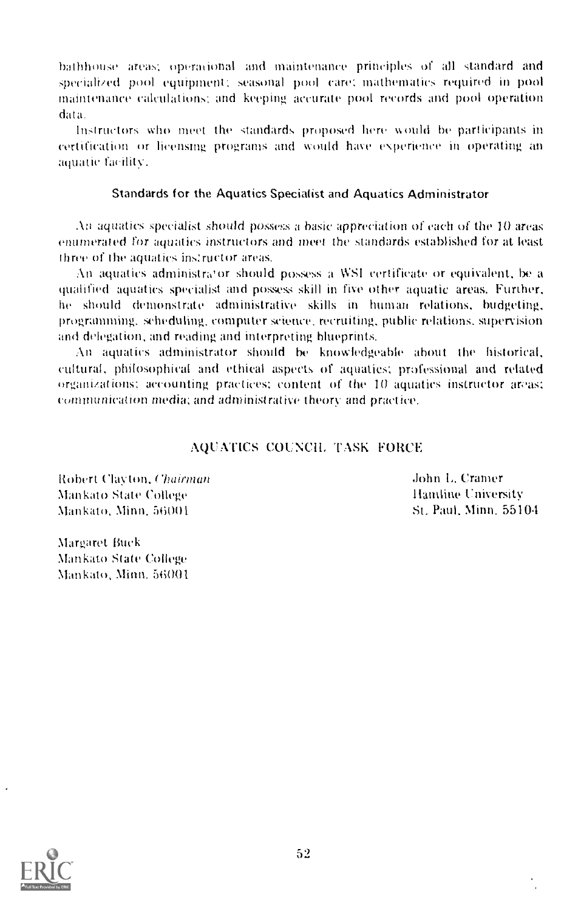bathhouse areas; operational and maintenance principles of all standard and speciali/ed pool equipment; seasonal pool care: mathematics required in pool maintenance calculations: and keeping accurate pool records and pool operation data.

Instructors who meet the standards proposed here would be participants in certification or licensing programs and would have experience in operating an aquatic facility.

# Standards for the Aquatics Specialist and Aquatics Administrator

An aquatics specialist should possess a basic appreciation of each of the  $10$  areas enumerated for aquatics instructors and meet the standards established for at least three of the aquatics instructor areas,

An aquatics administrator should possess a WSI certificate or equivalent, be a qualified aquatics specialist and possess skill in five other aquatic areas. Further, he should demonstrate administrative skills in human relations, budgeting, programming. scheduling, computer science, recruiting, public relations. supervision and delegation, and reading and interpreting blueprints.

An aquatics administrator should be knowledgeable about the historical, cultural, philosophical and ethical aspects of aquatics; professional and related organizations: accounting practices; content of the 10 aquatics instructor areas; communication media; and administrative theory and practice.

# AQUATICS COUNCIL TASK FORCE

Robert Clayton, Chairman Mankato State (7ollege Mankato, Minn. 50001

John 1,, Cramer Ilandine University St, Paul, Minn. 5510,1

Margaret Buck Mankato State College Mankato, Minn. 56001